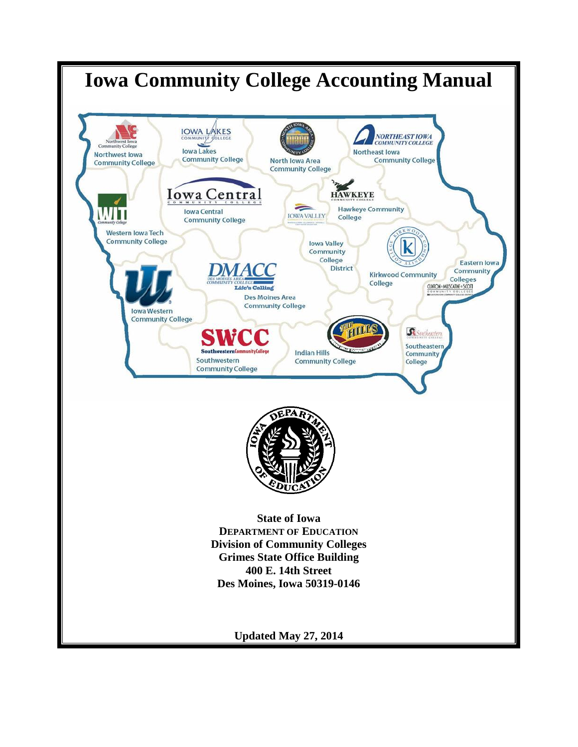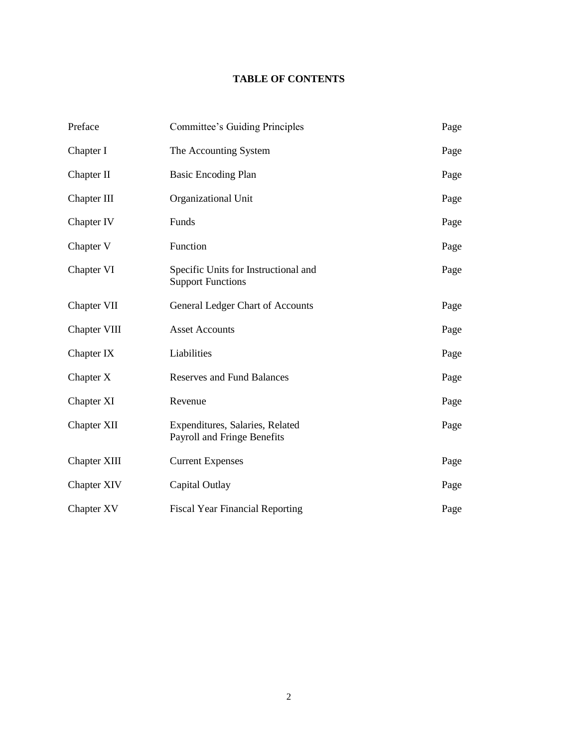# **TABLE OF CONTENTS**

| Preface      | Committee's Guiding Principles                                   | Page |
|--------------|------------------------------------------------------------------|------|
| Chapter I    | The Accounting System                                            | Page |
| Chapter II   | <b>Basic Encoding Plan</b>                                       | Page |
| Chapter III  | Organizational Unit                                              | Page |
| Chapter IV   | Funds                                                            | Page |
| Chapter V    | Function                                                         | Page |
| Chapter VI   | Specific Units for Instructional and<br><b>Support Functions</b> | Page |
| Chapter VII  | General Ledger Chart of Accounts                                 | Page |
| Chapter VIII | <b>Asset Accounts</b>                                            | Page |
| Chapter IX   | Liabilities                                                      | Page |
| Chapter X    | <b>Reserves and Fund Balances</b>                                | Page |
| Chapter XI   | Revenue                                                          | Page |
| Chapter XII  | Expenditures, Salaries, Related<br>Payroll and Fringe Benefits   | Page |
| Chapter XIII | <b>Current Expenses</b>                                          | Page |
| Chapter XIV  | Capital Outlay                                                   | Page |
| Chapter XV   | <b>Fiscal Year Financial Reporting</b>                           | Page |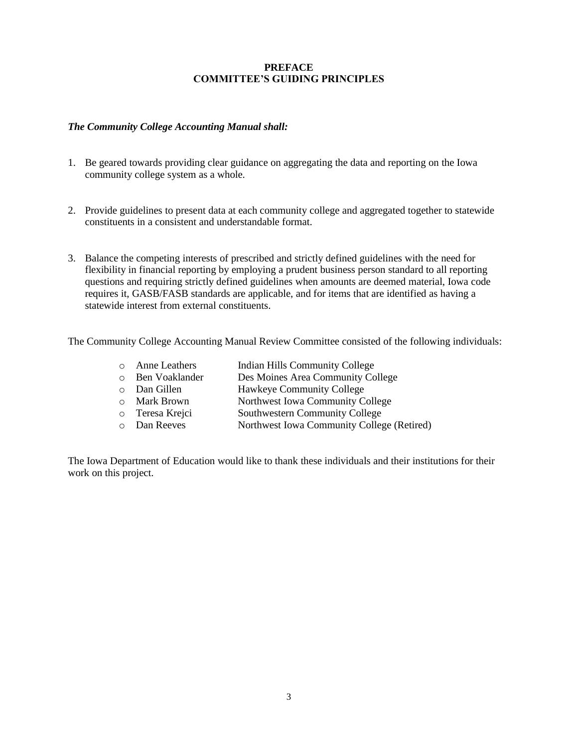## **PREFACE COMMITTEE'S GUIDING PRINCIPLES**

## *The Community College Accounting Manual shall:*

- 1. Be geared towards providing clear guidance on aggregating the data and reporting on the Iowa community college system as a whole.
- 2. Provide guidelines to present data at each community college and aggregated together to statewide constituents in a consistent and understandable format.
- 3. Balance the competing interests of prescribed and strictly defined guidelines with the need for flexibility in financial reporting by employing a prudent business person standard to all reporting questions and requiring strictly defined guidelines when amounts are deemed material, Iowa code requires it, GASB/FASB standards are applicable, and for items that are identified as having a statewide interest from external constituents.

The Community College Accounting Manual Review Committee consisted of the following individuals:

| o Anne Leathers     | Indian Hills Community College             |
|---------------------|--------------------------------------------|
| o Ben Voaklander    | Des Moines Area Community College          |
| o Dan Gillen        | Hawkeye Community College                  |
| <b>O</b> Mark Brown | Northwest Iowa Community College           |
| o Teresa Krejci     | Southwestern Community College             |
| <b>O</b> Dan Reeves | Northwest Iowa Community College (Retired) |

The Iowa Department of Education would like to thank these individuals and their institutions for their work on this project.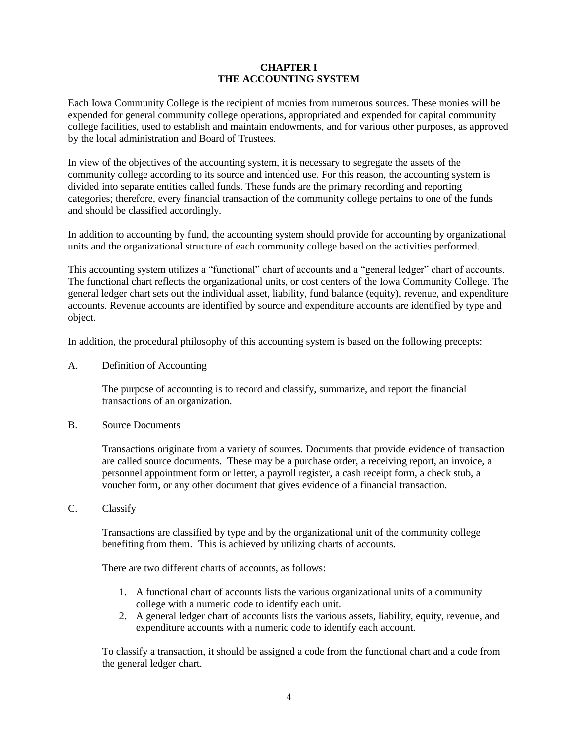## **CHAPTER I THE ACCOUNTING SYSTEM**

Each Iowa Community College is the recipient of monies from numerous sources. These monies will be expended for general community college operations, appropriated and expended for capital community college facilities, used to establish and maintain endowments, and for various other purposes, as approved by the local administration and Board of Trustees.

In view of the objectives of the accounting system, it is necessary to segregate the assets of the community college according to its source and intended use. For this reason, the accounting system is divided into separate entities called funds. These funds are the primary recording and reporting categories; therefore, every financial transaction of the community college pertains to one of the funds and should be classified accordingly.

In addition to accounting by fund, the accounting system should provide for accounting by organizational units and the organizational structure of each community college based on the activities performed.

This accounting system utilizes a "functional" chart of accounts and a "general ledger" chart of accounts. The functional chart reflects the organizational units, or cost centers of the Iowa Community College. The general ledger chart sets out the individual asset, liability, fund balance (equity), revenue, and expenditure accounts. Revenue accounts are identified by source and expenditure accounts are identified by type and object.

In addition, the procedural philosophy of this accounting system is based on the following precepts:

A. Definition of Accounting

The purpose of accounting is to record and classify, summarize, and report the financial transactions of an organization.

B. Source Documents

Transactions originate from a variety of sources. Documents that provide evidence of transaction are called source documents. These may be a purchase order, a receiving report, an invoice, a personnel appointment form or letter, a payroll register, a cash receipt form, a check stub, a voucher form, or any other document that gives evidence of a financial transaction.

C. Classify

Transactions are classified by type and by the organizational unit of the community college benefiting from them. This is achieved by utilizing charts of accounts.

There are two different charts of accounts, as follows:

- 1. A functional chart of accounts lists the various organizational units of a community college with a numeric code to identify each unit.
- 2. A general ledger chart of accounts lists the various assets, liability, equity, revenue, and expenditure accounts with a numeric code to identify each account.

To classify a transaction, it should be assigned a code from the functional chart and a code from the general ledger chart.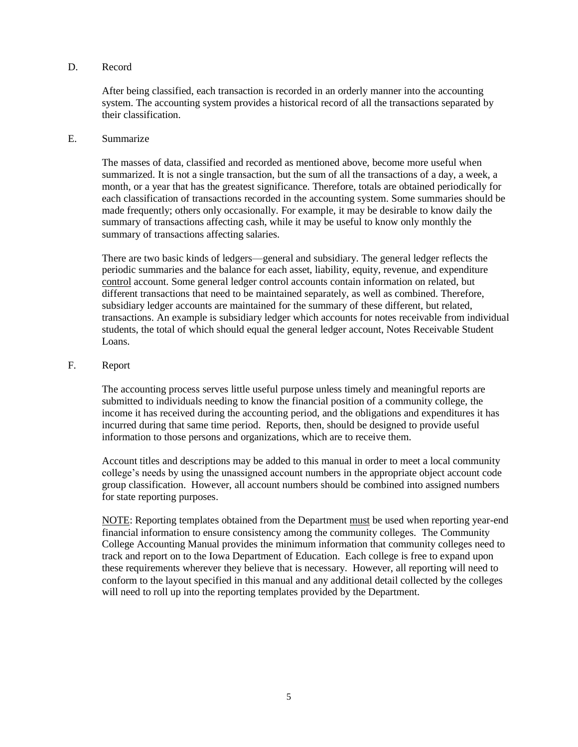## D. Record

After being classified, each transaction is recorded in an orderly manner into the accounting system. The accounting system provides a historical record of all the transactions separated by their classification.

#### E. Summarize

The masses of data, classified and recorded as mentioned above, become more useful when summarized. It is not a single transaction, but the sum of all the transactions of a day, a week, a month, or a year that has the greatest significance. Therefore, totals are obtained periodically for each classification of transactions recorded in the accounting system. Some summaries should be made frequently; others only occasionally. For example, it may be desirable to know daily the summary of transactions affecting cash, while it may be useful to know only monthly the summary of transactions affecting salaries.

There are two basic kinds of ledgers—general and subsidiary. The general ledger reflects the periodic summaries and the balance for each asset, liability, equity, revenue, and expenditure control account. Some general ledger control accounts contain information on related, but different transactions that need to be maintained separately, as well as combined. Therefore, subsidiary ledger accounts are maintained for the summary of these different, but related, transactions. An example is subsidiary ledger which accounts for notes receivable from individual students, the total of which should equal the general ledger account, Notes Receivable Student Loans.

## F. Report

The accounting process serves little useful purpose unless timely and meaningful reports are submitted to individuals needing to know the financial position of a community college, the income it has received during the accounting period, and the obligations and expenditures it has incurred during that same time period. Reports, then, should be designed to provide useful information to those persons and organizations, which are to receive them.

Account titles and descriptions may be added to this manual in order to meet a local community college's needs by using the unassigned account numbers in the appropriate object account code group classification. However, all account numbers should be combined into assigned numbers for state reporting purposes.

NOTE: Reporting templates obtained from the Department must be used when reporting year-end financial information to ensure consistency among the community colleges. The Community College Accounting Manual provides the minimum information that community colleges need to track and report on to the Iowa Department of Education. Each college is free to expand upon these requirements wherever they believe that is necessary. However, all reporting will need to conform to the layout specified in this manual and any additional detail collected by the colleges will need to roll up into the reporting templates provided by the Department.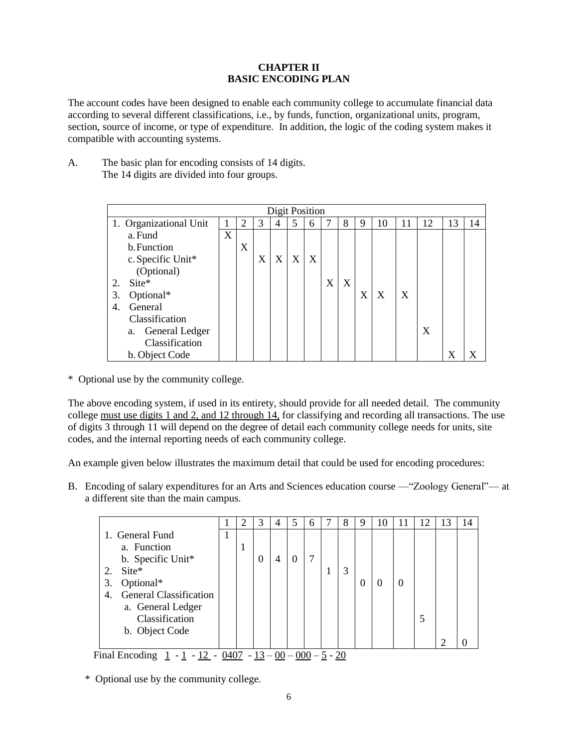# **CHAPTER II BASIC ENCODING PLAN**

The account codes have been designed to enable each community college to accumulate financial data according to several different classifications, i.e., by funds, function, organizational units, program, section, source of income, or type of expenditure. In addition, the logic of the coding system makes it compatible with accounting systems.

A. The basic plan for encoding consists of 14 digits. The 14 digits are divided into four groups.

|    |                        |   |   |                  | <b>Digit Position</b> |   |   |                           |   |   |    |   |    |    |    |
|----|------------------------|---|---|------------------|-----------------------|---|---|---------------------------|---|---|----|---|----|----|----|
|    | 1. Organizational Unit |   |   | 3                | 4                     | 5 | 6 |                           | 8 | 9 | 10 | H | 12 | 13 | 14 |
|    | a. Fund                | X |   |                  |                       |   |   |                           |   |   |    |   |    |    |    |
|    | b. Function            |   | X |                  |                       |   |   |                           |   |   |    |   |    |    |    |
|    | c. Specific Unit*      |   |   | $\boldsymbol{X}$ | X                     | X | X |                           |   |   |    |   |    |    |    |
|    | (Optional)             |   |   |                  |                       |   |   |                           |   |   |    |   |    |    |    |
| 2. | $\text{Site}^*$        |   |   |                  |                       |   |   | $\boldsymbol{\mathrm{X}}$ | X |   |    |   |    |    |    |
| 3. | Optional*              |   |   |                  |                       |   |   |                           |   | X | X  | X |    |    |    |
| 4. | General                |   |   |                  |                       |   |   |                           |   |   |    |   |    |    |    |
|    | Classification         |   |   |                  |                       |   |   |                           |   |   |    |   |    |    |    |
|    | a. General Ledger      |   |   |                  |                       |   |   |                           |   |   |    |   | X  |    |    |
|    | Classification         |   |   |                  |                       |   |   |                           |   |   |    |   |    |    |    |
|    | b. Object Code         |   |   |                  |                       |   |   |                           |   |   |    |   |    | X  |    |

\* Optional use by the community college.

The above encoding system, if used in its entirety, should provide for all needed detail. The community college must use digits 1 and 2, and 12 through 14, for classifying and recording all transactions. The use of digits 3 through 11 will depend on the degree of detail each community college needs for units, site codes, and the internal reporting needs of each community college.

An example given below illustrates the maximum detail that could be used for encoding procedures:

B. Encoding of salary expenditures for an Arts and Sciences education course —"Zoology General"— at a different site than the main campus.

|                                     |   |   | 3        | 4 | 5        | 6 | 8 | 9 | 10 | 12 | 13 | 14 |
|-------------------------------------|---|---|----------|---|----------|---|---|---|----|----|----|----|
| 1. General Fund                     | - |   |          |   |          |   |   |   |    |    |    |    |
| a. Function                         |   | п |          |   |          |   |   |   |    |    |    |    |
| b. Specific Unit*                   |   |   | $\theta$ | 4 | $\Omega$ | 7 |   |   |    |    |    |    |
| Site*<br>2.                         |   |   |          |   |          |   | 3 |   |    |    |    |    |
| Optional*<br>3.                     |   |   |          |   |          |   |   | O |    |    |    |    |
| <b>General Classification</b><br>4. |   |   |          |   |          |   |   |   |    |    |    |    |
| a. General Ledger                   |   |   |          |   |          |   |   |   |    |    |    |    |
| Classification                      |   |   |          |   |          |   |   |   |    |    |    |    |
| b. Object Code                      |   |   |          |   |          |   |   |   |    |    |    |    |
|                                     |   |   |          |   |          |   |   |   |    |    | ി  |    |

Final Encoding  $1 - 1 - 12 - 0407 - 13 - 00 - 000 - 5 - 20$ 

\* Optional use by the community college.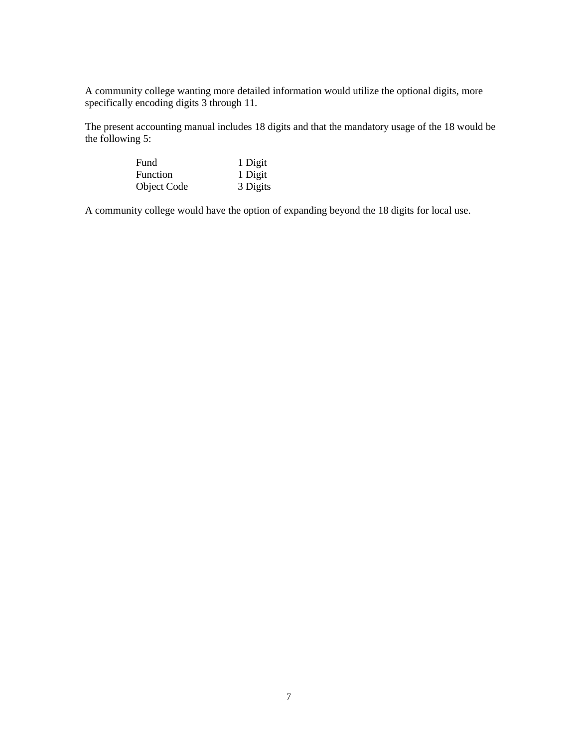A community college wanting more detailed information would utilize the optional digits, more specifically encoding digits 3 through 11.

The present accounting manual includes 18 digits and that the mandatory usage of the 18 would be the following 5:

| Fund        | 1 Digit  |
|-------------|----------|
| Function    | 1 Digit  |
| Object Code | 3 Digits |

A community college would have the option of expanding beyond the 18 digits for local use.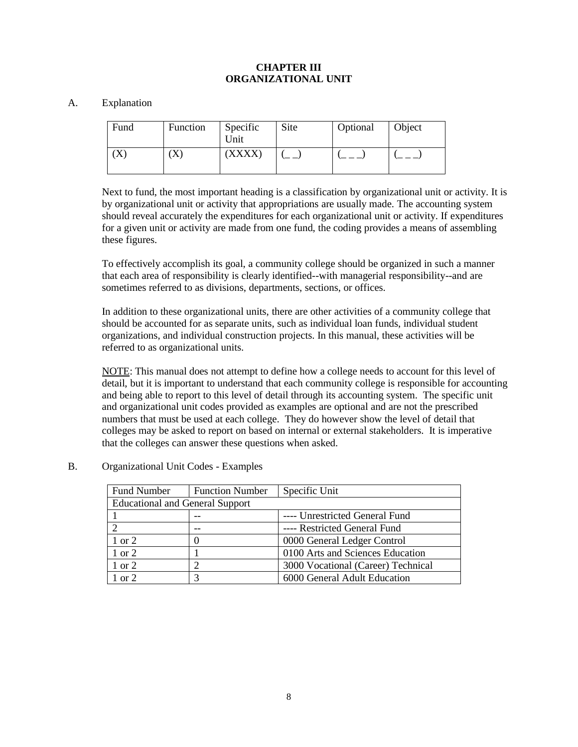## **CHAPTER III ORGANIZATIONAL UNIT**

#### A. Explanation

| Fund         | Function | Specific<br>Unit | Site | Optional | Object |
|--------------|----------|------------------|------|----------|--------|
| $\mathbf{A}$ | $\Delta$ | [XXXX]           |      |          |        |

Next to fund, the most important heading is a classification by organizational unit or activity. It is by organizational unit or activity that appropriations are usually made. The accounting system should reveal accurately the expenditures for each organizational unit or activity. If expenditures for a given unit or activity are made from one fund, the coding provides a means of assembling these figures.

To effectively accomplish its goal, a community college should be organized in such a manner that each area of responsibility is clearly identified--with managerial responsibility--and are sometimes referred to as divisions, departments, sections, or offices.

In addition to these organizational units, there are other activities of a community college that should be accounted for as separate units, such as individual loan funds, individual student organizations, and individual construction projects. In this manual, these activities will be referred to as organizational units.

NOTE: This manual does not attempt to define how a college needs to account for this level of detail, but it is important to understand that each community college is responsible for accounting and being able to report to this level of detail through its accounting system. The specific unit and organizational unit codes provided as examples are optional and are not the prescribed numbers that must be used at each college. They do however show the level of detail that colleges may be asked to report on based on internal or external stakeholders. It is imperative that the colleges can answer these questions when asked.

## B. Organizational Unit Codes - Examples

| <b>Fund Number</b>                     | <b>Function Number</b> | Specific Unit                      |
|----------------------------------------|------------------------|------------------------------------|
| <b>Educational and General Support</b> |                        |                                    |
|                                        |                        | ---- Unrestricted General Fund     |
|                                        |                        | ---- Restricted General Fund       |
| 1 or 2                                 |                        | 0000 General Ledger Control        |
| 1 or 2                                 |                        | 0100 Arts and Sciences Education   |
| 1 or 2                                 |                        | 3000 Vocational (Career) Technical |
| or $2$                                 |                        | 6000 General Adult Education       |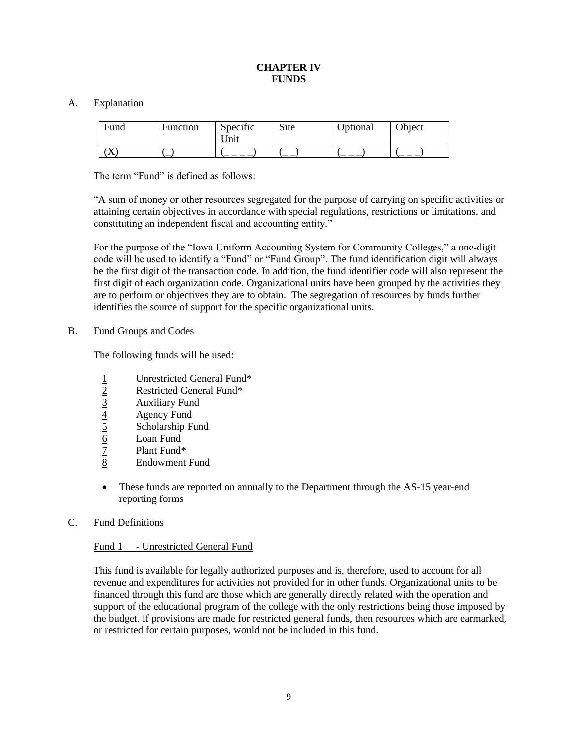## **CHAPTER IV FUNDS**

## A. Explanation

| Fund      | <b>Function</b> | Specific<br>Unit | Site | Optional | Object |
|-----------|-----------------|------------------|------|----------|--------|
| $\Lambda$ |                 |                  |      |          |        |

The term "Fund" is defined as follows:

"A sum of money or other resources segregated for the purpose of carrying on specific activities or attaining certain objectives in accordance with special regulations, restrictions or limitations, and constituting an independent fiscal and accounting entity."

For the purpose of the "Iowa Uniform Accounting System for Community Colleges," a one-digit code will be used to identify a "Fund" or "Fund Group". The fund identification digit will always be the first digit of the transaction code. In addition, the fund identifier code will also represent the first digit of each organization code. Organizational units have been grouped by the activities they are to perform or objectives they are to obtain. The segregation of resources by funds further identifies the source of support for the specific organizational units.

#### B. Fund Groups and Codes

The following funds will be used:

- $\frac{1}{2}$  Unrestricted General Fund\*<br>Restricted General Fund\*<br>3<br>Auxiliary Fund
- 2 Restricted General Fund\*
- 
- **Agency Fund**
- $\frac{3}{4}$  Auxiliary Fund<br>  $\frac{4}{5}$  Agency Fund<br>
Scholarship Fund 5 Scholarship Fund
- 6 Loan Fund
- 
- 7 Plant Fund\* **Endowment Fund**
- These funds are reported on annually to the Department through the AS-15 year-end reporting forms
- C. Fund Definitions

## Fund 1 - Unrestricted General Fund

This fund is available for legally authorized purposes and is, therefore, used to account for all revenue and expenditures for activities not provided for in other funds. Organizational units to be financed through this fund are those which are generally directly related with the operation and support of the educational program of the college with the only restrictions being those imposed by the budget. If provisions are made for restricted general funds, then resources which are earmarked, or restricted for certain purposes, would not be included in this fund.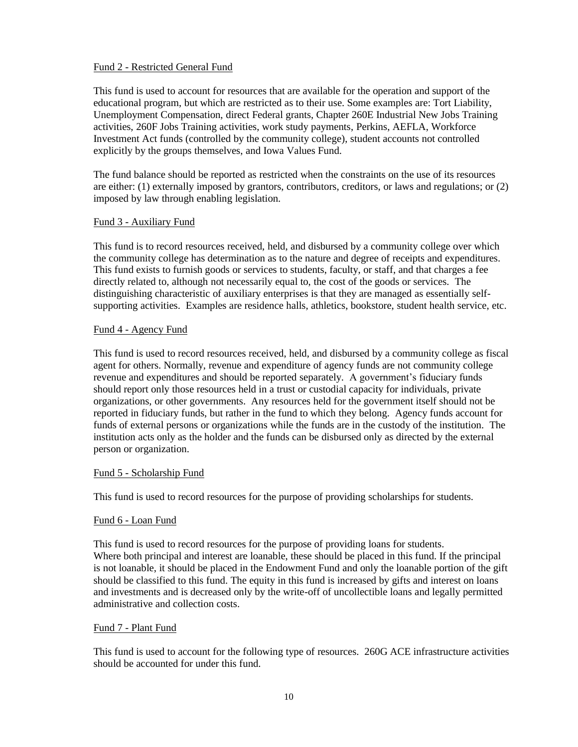## Fund 2 - Restricted General Fund

This fund is used to account for resources that are available for the operation and support of the educational program, but which are restricted as to their use. Some examples are: Tort Liability, Unemployment Compensation, direct Federal grants, Chapter 260E Industrial New Jobs Training activities, 260F Jobs Training activities, work study payments, Perkins, AEFLA, Workforce Investment Act funds (controlled by the community college), student accounts not controlled explicitly by the groups themselves, and Iowa Values Fund.

The fund balance should be reported as restricted when the constraints on the use of its resources are either: (1) externally imposed by grantors, contributors, creditors, or laws and regulations; or (2) imposed by law through enabling legislation.

## Fund 3 - Auxiliary Fund

This fund is to record resources received, held, and disbursed by a community college over which the community college has determination as to the nature and degree of receipts and expenditures. This fund exists to furnish goods or services to students, faculty, or staff, and that charges a fee directly related to, although not necessarily equal to, the cost of the goods or services. The distinguishing characteristic of auxiliary enterprises is that they are managed as essentially selfsupporting activities. Examples are residence halls, athletics, bookstore, student health service, etc.

## Fund 4 - Agency Fund

This fund is used to record resources received, held, and disbursed by a community college as fiscal agent for others. Normally, revenue and expenditure of agency funds are not community college revenue and expenditures and should be reported separately. A government's fiduciary funds should report only those resources held in a trust or custodial capacity for individuals, private organizations, or other governments. Any resources held for the government itself should not be reported in fiduciary funds, but rather in the fund to which they belong. Agency funds account for funds of external persons or organizations while the funds are in the custody of the institution. The institution acts only as the holder and the funds can be disbursed only as directed by the external person or organization.

## Fund 5 - Scholarship Fund

This fund is used to record resources for the purpose of providing scholarships for students.

#### Fund 6 - Loan Fund

This fund is used to record resources for the purpose of providing loans for students. Where both principal and interest are loanable, these should be placed in this fund. If the principal is not loanable, it should be placed in the Endowment Fund and only the loanable portion of the gift should be classified to this fund. The equity in this fund is increased by gifts and interest on loans and investments and is decreased only by the write-off of uncollectible loans and legally permitted administrative and collection costs.

## Fund 7 - Plant Fund

This fund is used to account for the following type of resources. 260G ACE infrastructure activities should be accounted for under this fund.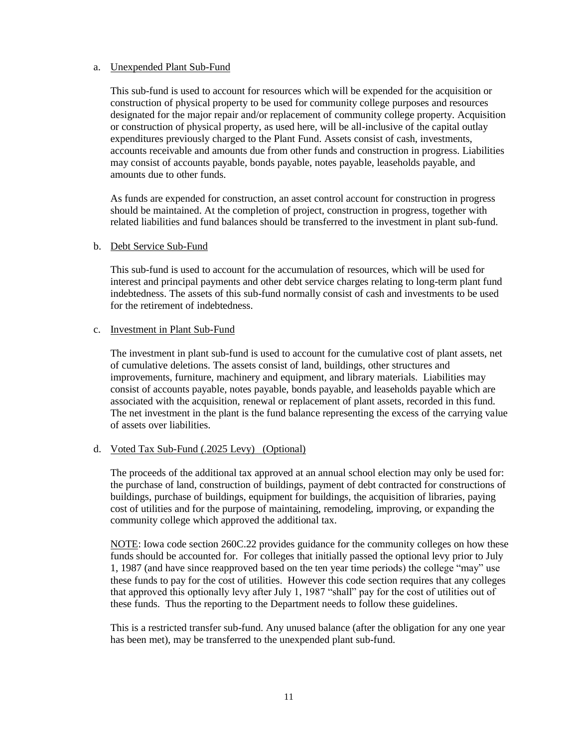## a. Unexpended Plant Sub-Fund

This sub-fund is used to account for resources which will be expended for the acquisition or construction of physical property to be used for community college purposes and resources designated for the major repair and/or replacement of community college property. Acquisition or construction of physical property, as used here, will be all-inclusive of the capital outlay expenditures previously charged to the Plant Fund. Assets consist of cash, investments, accounts receivable and amounts due from other funds and construction in progress. Liabilities may consist of accounts payable, bonds payable, notes payable, leaseholds payable, and amounts due to other funds.

As funds are expended for construction, an asset control account for construction in progress should be maintained. At the completion of project, construction in progress, together with related liabilities and fund balances should be transferred to the investment in plant sub-fund.

#### b. Debt Service Sub-Fund

This sub-fund is used to account for the accumulation of resources, which will be used for interest and principal payments and other debt service charges relating to long-term plant fund indebtedness. The assets of this sub-fund normally consist of cash and investments to be used for the retirement of indebtedness.

#### c. Investment in Plant Sub-Fund

The investment in plant sub-fund is used to account for the cumulative cost of plant assets, net of cumulative deletions. The assets consist of land, buildings, other structures and improvements, furniture, machinery and equipment, and library materials. Liabilities may consist of accounts payable, notes payable, bonds payable, and leaseholds payable which are associated with the acquisition, renewal or replacement of plant assets, recorded in this fund. The net investment in the plant is the fund balance representing the excess of the carrying value of assets over liabilities.

## d. Voted Tax Sub-Fund (.2025 Levy) (Optional)

The proceeds of the additional tax approved at an annual school election may only be used for: the purchase of land, construction of buildings, payment of debt contracted for constructions of buildings, purchase of buildings, equipment for buildings, the acquisition of libraries, paying cost of utilities and for the purpose of maintaining, remodeling, improving, or expanding the community college which approved the additional tax.

NOTE: Iowa code section 260C.22 provides guidance for the community colleges on how these funds should be accounted for. For colleges that initially passed the optional levy prior to July 1, 1987 (and have since reapproved based on the ten year time periods) the college "may" use these funds to pay for the cost of utilities. However this code section requires that any colleges that approved this optionally levy after July 1, 1987 "shall" pay for the cost of utilities out of these funds. Thus the reporting to the Department needs to follow these guidelines.

This is a restricted transfer sub-fund. Any unused balance (after the obligation for any one year has been met), may be transferred to the unexpended plant sub-fund.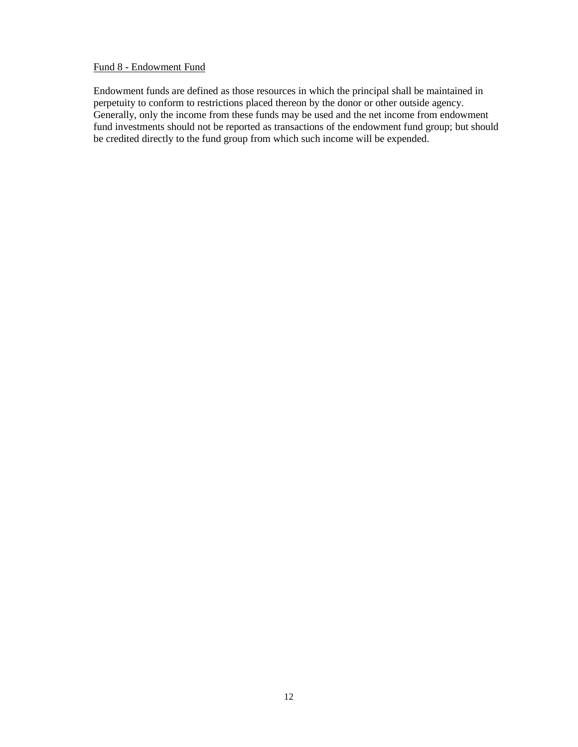#### Fund 8 - Endowment Fund

Endowment funds are defined as those resources in which the principal shall be maintained in perpetuity to conform to restrictions placed thereon by the donor or other outside agency. Generally, only the income from these funds may be used and the net income from endowment fund investments should not be reported as transactions of the endowment fund group; but should be credited directly to the fund group from which such income will be expended.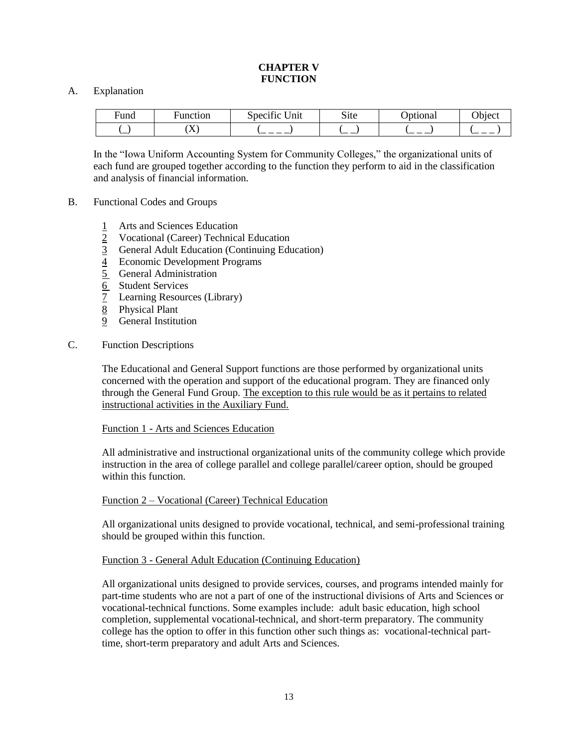## **CHAPTER V FUNCTION**

## A. Explanation

| -<br>⊦und | –<br>⊮unction | $\cdot$<br>/nit<br>Specific | $\sim\cdot$<br>Site | ptional | <b>. .</b><br>$P$ b <sub>1</sub> ect |
|-----------|---------------|-----------------------------|---------------------|---------|--------------------------------------|
| ─         | \ <i>*</i> *  | $ -$                        | `——                 | _       | __                                   |

In the "Iowa Uniform Accounting System for Community Colleges," the organizational units of each fund are grouped together according to the function they perform to aid in the classification and analysis of financial information.

- B. Functional Codes and Groups
	- 1 Arts and Sciences Education
	- 2 Vocational (Career) Technical Education
	- 3 General Adult Education (Continuing Education)
	- 4 Economic Development Programs
	- 5 General Administration
	- 6 Student Services
	- 7 Learning Resources (Library)
	- $\overline{8}$  Physical Plant
	- 9 General Institution
- C. Function Descriptions

The Educational and General Support functions are those performed by organizational units concerned with the operation and support of the educational program. They are financed only through the General Fund Group. The exception to this rule would be as it pertains to related instructional activities in the Auxiliary Fund.

#### Function 1 - Arts and Sciences Education

All administrative and instructional organizational units of the community college which provide instruction in the area of college parallel and college parallel/career option, should be grouped within this function.

#### Function 2 – Vocational (Career) Technical Education

All organizational units designed to provide vocational, technical, and semi-professional training should be grouped within this function.

#### Function 3 - General Adult Education (Continuing Education)

All organizational units designed to provide services, courses, and programs intended mainly for part-time students who are not a part of one of the instructional divisions of Arts and Sciences or vocational-technical functions. Some examples include: adult basic education, high school completion, supplemental vocational-technical, and short-term preparatory. The community college has the option to offer in this function other such things as: vocational-technical parttime, short-term preparatory and adult Arts and Sciences.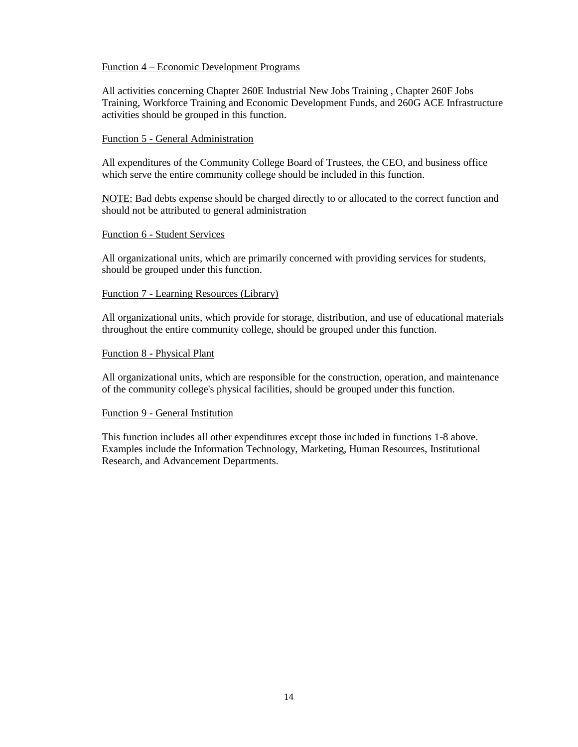#### Function 4 – Economic Development Programs

All activities concerning Chapter 260E Industrial New Jobs Training , Chapter 260F Jobs Training, Workforce Training and Economic Development Funds, and 260G ACE Infrastructure activities should be grouped in this function.

#### Function 5 - General Administration

All expenditures of the Community College Board of Trustees, the CEO, and business office which serve the entire community college should be included in this function.

NOTE: Bad debts expense should be charged directly to or allocated to the correct function and should not be attributed to general administration

#### Function 6 - Student Services

All organizational units, which are primarily concerned with providing services for students, should be grouped under this function.

#### Function 7 - Learning Resources (Library)

All organizational units, which provide for storage, distribution, and use of educational materials throughout the entire community college, should be grouped under this function.

#### Function 8 - Physical Plant

All organizational units, which are responsible for the construction, operation, and maintenance of the community college's physical facilities, should be grouped under this function.

#### Function 9 - General Institution

This function includes all other expenditures except those included in functions 1-8 above. Examples include the Information Technology, Marketing, Human Resources, Institutional Research, and Advancement Departments.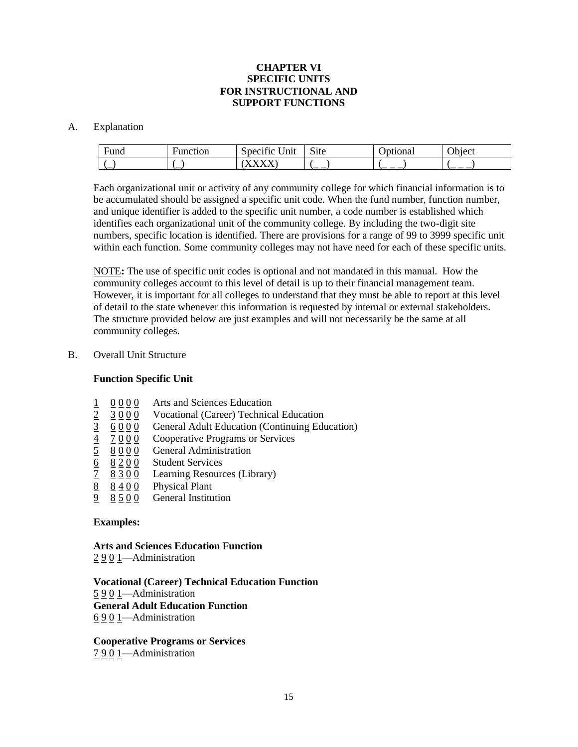## **CHAPTER VI SPECIFIC UNITS FOR INSTRUCTIONAL AND SUPPORT FUNCTIONS**

#### A. Explanation

| −<br>Funa | unction- | $\cdot$<br>$\sim$<br>Unıt<br>Specific | $\sim$ .<br>Site | <b>Jona</b> | $\sim$ 1 $\sim$<br>ddiect |
|-----------|----------|---------------------------------------|------------------|-------------|---------------------------|
| ∽         | ∽        |                                       | `— —             | __<br>ــ    | _ _ _                     |

Each organizational unit or activity of any community college for which financial information is to be accumulated should be assigned a specific unit code. When the fund number, function number, and unique identifier is added to the specific unit number, a code number is established which identifies each organizational unit of the community college. By including the two-digit site numbers, specific location is identified. There are provisions for a range of 99 to 3999 specific unit within each function. Some community colleges may not have need for each of these specific units.

NOTE**:** The use of specific unit codes is optional and not mandated in this manual. How the community colleges account to this level of detail is up to their financial management team. However, it is important for all colleges to understand that they must be able to report at this level of detail to the state whenever this information is requested by internal or external stakeholders. The structure provided below are just examples and will not necessarily be the same at all community colleges.

## B. Overall Unit Structure

## **Function Specific Unit**

- 1 0 0 0 0 Arts and Sciences Education
- $2 \quad 3 \quad 0 \quad 0$  Vocational (Career) Technical Education
- $\frac{3}{5}$  6 0 0 0 General Adult Education (Continuing Education)
- $\frac{4}{5}$   $\frac{7000}{8000}$  Cooperative Programs or Services
- 
- 6 8 2 0 0 Student Services
- $\underline{5}$   $\underline{8}$   $\underline{0}$   $\underline{0}$   $\underline{0}$  General Administration<br>  $\underline{6}$   $\underline{8}$   $\underline{2}$   $\underline{0}$   $\underline{0}$  Student Services<br>  $\underline{7}$   $\underline{8}$   $\underline{3}$   $\underline{0}$   $\underline{0}$  Learning Resources (Lib  $\frac{7}{8}$   $\frac{8300}{8400}$  Learning Resources (Library)
- 8 4 0 0 Physical Plant
- 9 8 5 0 0 General Institution

#### **Examples:**

## **Arts and Sciences Education Function**

2 9 0 1—Administration

**Vocational (Career) Technical Education Function** 5 9 0 1—Administration **General Adult Education Function** 6 9 0 1—Administration

**Cooperative Programs or Services** 7 9 0 1—Administration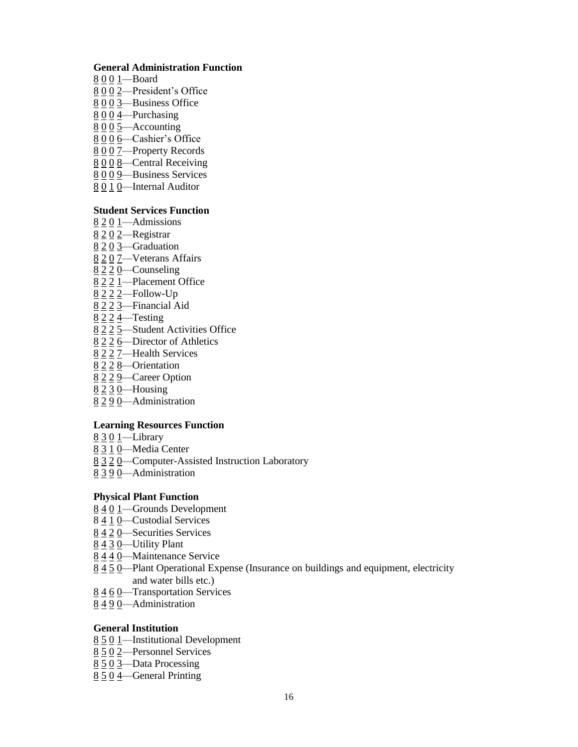## **General Administration Function**

- 0 0 1—Board
- 0 0 2—President's Office
- 0 0 3—Business Office
- —Purchasing
- —Accounting
- 8 0 0 6 Cashier's Office
- 0 0 7—Property Records
- 0 0 8—Central Receiving
- 8 0 0 9—Business Services
- 0 1 0—Internal Auditor

## **Student Services Function**

- 2 0 1—Admissions
- 2 0 2—Registrar
- —Graduation
- 8 2 0 7 Veterans Affairs
- 2 2 0—Counseling
- 2 2 1—Placement Office
- 2 2 2—Follow-Up
- 2 2 3—Financial Aid
- 2 2 4—Testing
- 2 2 5—Student Activities Office
- 2 2 6—Director of Athletics
- 2 2 7—Health Services
- 2 2 8—Orientation
- 2 2 9—Career Option
- 2 3 0—Housing
- 2 9 0—Administration

## **Learning Resources Function**

- 3 0 1—Library
- 3 1 0—Media Center
- 3 2 0—Computer-Assisted Instruction Laboratory
- 3 9 0—Administration

#### **Physical Plant Function**

- 4 0 1—Grounds Development
- 8 4 1 0—Custodial Services
- 4 2 0—Securities Services
- 4 3 0—Utility Plant
- 4 4 0—Maintenance Service
- 4 5 0—Plant Operational Expense (Insurance on buildings and equipment, electricity and water bills etc.)
- 4 6 0—Transportation Services
- 4 9 0—Administration

## **General Institution**

- 5 0 1—Institutional Development
- 5 0 2—Personnel Services
- 5 0 3—Data Processing
- 5 0 4—General Printing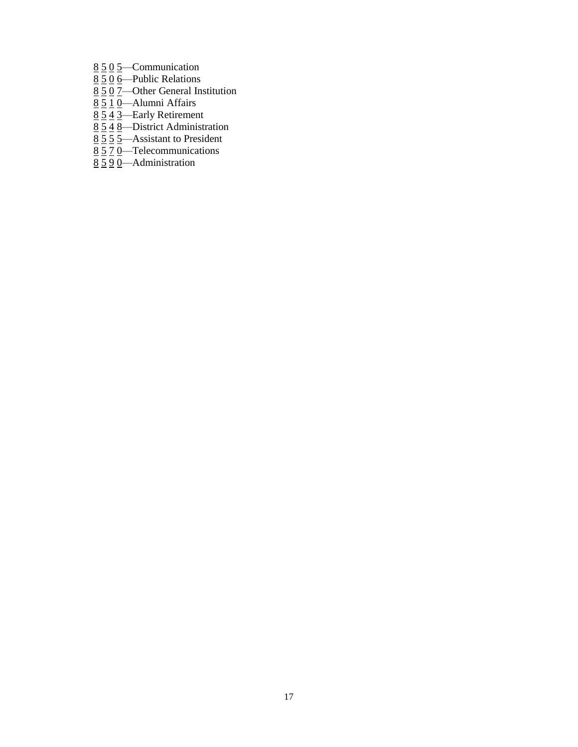- 8 5 0 5—Communication
- $8\overline{50}$  6—Public Relations
- $8\overline{50}$  7 Other General Institution
- 8 5 1 0—Alumni Affairs
- $8\overline{54}$   $\overline{3}$ —Early Retirement
- $8\overline{548}$ —District Administration
- $8\overline{5}$   $\overline{5}$   $\overline{5}$   $\overline{5}$   $\overline{5}$   $\overline{5}$   $\overline{5}$   $\overline{5}$   $\overline{5}$   $\overline{5}$   $\overline{5}$   $\overline{5}$   $\overline{5}$   $\overline{5}$   $\overline{5}$   $\overline{5}$   $\overline{5}$   $\overline{5}$   $\overline{5}$   $\overline{5}$   $\overline{5}$   $\overline{5}$   $\overline{5}$   $\overline{5}$   $\overline$
- 8 5 7 0—Telecommunications
- 8 5 9 0—Administration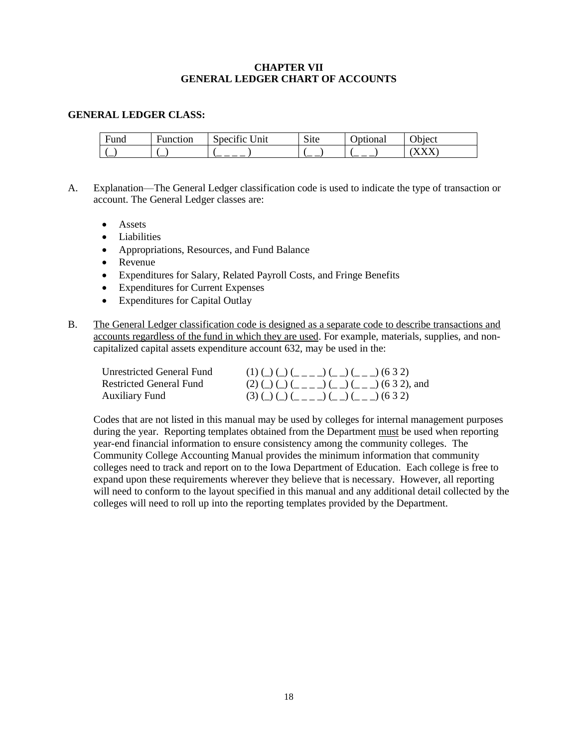## **CHAPTER VII GENERAL LEDGER CHART OF ACCOUNTS**

#### **GENERAL LEDGER CLASS:**

| $\overline{\phantom{0}}$<br>rung | –<br>Function | C<br>$\sim$<br>Init<br>Specific | $\sim$<br>S <sub>1</sub> te | ptional<br>ັ | ົ່<br>'hiect |
|----------------------------------|---------------|---------------------------------|-----------------------------|--------------|--------------|
| `—                               | <u>_</u>      |                                 | -                           |              | $\mathbf{y}$ |

- A. Explanation—The General Ledger classification code is used to indicate the type of transaction or account. The General Ledger classes are:
	- Assets
	- Liabilities
	- Appropriations, Resources, and Fund Balance
	- Revenue
	- Expenditures for Salary, Related Payroll Costs, and Fringe Benefits
	- Expenditures for Current Expenses
	- Expenditures for Capital Outlay
- B. The General Ledger classification code is designed as a separate code to describe transactions and accounts regardless of the fund in which they are used. For example, materials, supplies, and noncapitalized capital assets expenditure account 632, may be used in the:

| Unrestricted General Fund | $(1)$ ( ) ( ) ( $($ $($ $($ $  ))$ ( $($ $ )$ ( $($ $  )$ ( $($ $3$ $2)$ |
|---------------------------|--------------------------------------------------------------------------|
| Restricted General Fund   | $(2)$ ( ) ( ) ( $($ $($ $($ $($ $  ))$ ( $($ $($ $ ))$ (6 3 2), and      |
| <b>Auxiliary Fund</b>     | $(3)$ ( ) ( ) ( $($ $($ $($ $  ))$ ( $($ $ )$ ( $($ $  )$ ( $($ $3$ $2)$ |

Codes that are not listed in this manual may be used by colleges for internal management purposes during the year. Reporting templates obtained from the Department must be used when reporting year-end financial information to ensure consistency among the community colleges. The Community College Accounting Manual provides the minimum information that community colleges need to track and report on to the Iowa Department of Education. Each college is free to expand upon these requirements wherever they believe that is necessary. However, all reporting will need to conform to the layout specified in this manual and any additional detail collected by the colleges will need to roll up into the reporting templates provided by the Department.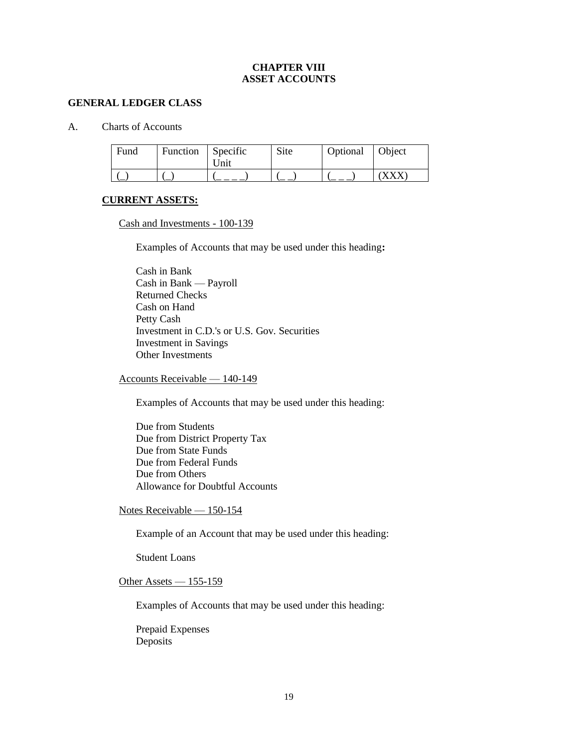## **CHAPTER VIII ASSET ACCOUNTS**

#### **GENERAL LEDGER CLASS**

A. Charts of Accounts

| Fund | Function Specific | Jnit | Site | Optional   Object |  |
|------|-------------------|------|------|-------------------|--|
|      |                   |      |      |                   |  |

#### **CURRENT ASSETS:**

Cash and Investments - 100-139

Examples of Accounts that may be used under this heading**:**

Cash in Bank Cash in Bank — Payroll Returned Checks Cash on Hand Petty Cash Investment in C.D.'s or U.S. Gov. Securities Investment in Savings Other Investments

#### Accounts Receivable — 140-149

Examples of Accounts that may be used under this heading:

Due from Students Due from District Property Tax Due from State Funds Due from Federal Funds Due from Others Allowance for Doubtful Accounts

Notes Receivable — 150-154

Example of an Account that may be used under this heading:

Student Loans

## Other Assets — 155-159

Examples of Accounts that may be used under this heading:

Prepaid Expenses Deposits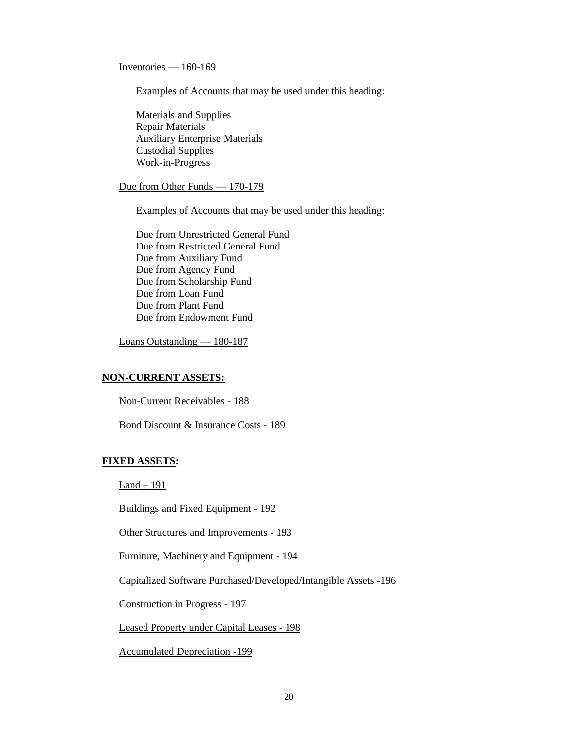## Inventories  $-160-169$

Examples of Accounts that may be used under this heading:

Materials and Supplies Repair Materials Auxiliary Enterprise Materials Custodial Supplies Work-in-Progress

#### Due from Other Funds — 170-179

Examples of Accounts that may be used under this heading:

Due from Unrestricted General Fund Due from Restricted General Fund Due from Auxiliary Fund Due from Agency Fund Due from Scholarship Fund Due from Loan Fund Due from Plant Fund Due from Endowment Fund

Loans Outstanding — 180-187

# **NON-CURRENT ASSETS:**

Non-Current Receivables - 188

Bond Discount & Insurance Costs - 189

## **FIXED ASSETS:**

 $Land - 191$ 

Buildings and Fixed Equipment - 192

Other Structures and Improvements - 193

Furniture, Machinery and Equipment - 194

Capitalized Software Purchased/Developed/Intangible Assets -196

Construction in Progress - 197

Leased Property under Capital Leases - 198

Accumulated Depreciation -199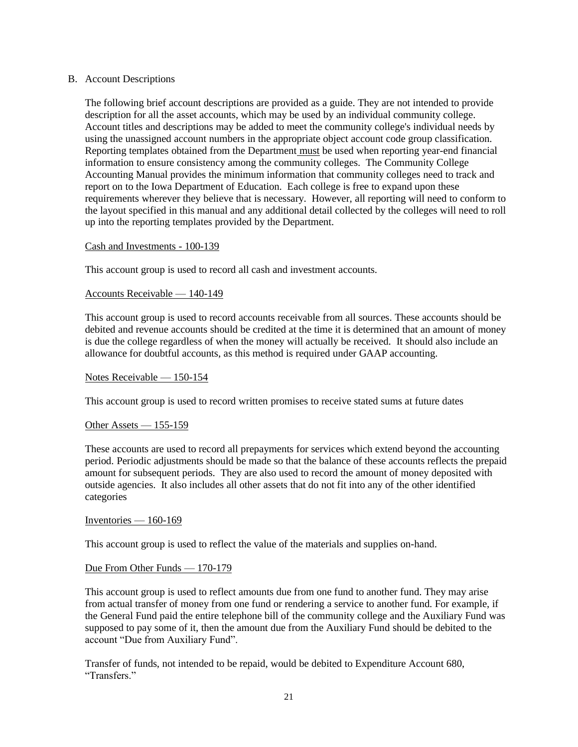#### B. Account Descriptions

The following brief account descriptions are provided as a guide. They are not intended to provide description for all the asset accounts, which may be used by an individual community college. Account titles and descriptions may be added to meet the community college's individual needs by using the unassigned account numbers in the appropriate object account code group classification. Reporting templates obtained from the Department must be used when reporting year-end financial information to ensure consistency among the community colleges. The Community College Accounting Manual provides the minimum information that community colleges need to track and report on to the Iowa Department of Education. Each college is free to expand upon these requirements wherever they believe that is necessary. However, all reporting will need to conform to the layout specified in this manual and any additional detail collected by the colleges will need to roll up into the reporting templates provided by the Department.

#### Cash and Investments - 100-139

This account group is used to record all cash and investment accounts.

#### Accounts Receivable — 140-149

This account group is used to record accounts receivable from all sources. These accounts should be debited and revenue accounts should be credited at the time it is determined that an amount of money is due the college regardless of when the money will actually be received. It should also include an allowance for doubtful accounts, as this method is required under GAAP accounting.

#### Notes Receivable — 150-154

This account group is used to record written [promises](http://www.businessdictionary.com/definition/promise.html) to [receive](http://www.businessdictionary.com/definition/receive.html) stated [sums](http://www.businessdictionary.com/definition/sum.html) at future [dates](http://www.businessdictionary.com/definition/date.html)

#### Other Assets — 155-159

These accounts are used to record all prepayments for services which extend beyond the accounting period. Periodic adjustments should be made so that the balance of these accounts reflects the prepaid amount for subsequent periods. They are also used to record the amount of money deposited with outside agencies. It also includes all other assets that do not fit into any of the other identified categories

#### Inventories  $-160-169$

This account group is used to reflect the value of the materials and supplies on-hand.

#### Due From Other Funds — 170-179

This account group is used to reflect amounts due from one fund to another fund. They may arise from actual transfer of money from one fund or rendering a service to another fund. For example, if the General Fund paid the entire telephone bill of the community college and the Auxiliary Fund was supposed to pay some of it, then the amount due from the Auxiliary Fund should be debited to the account "Due from Auxiliary Fund".

Transfer of funds, not intended to be repaid, would be debited to Expenditure Account 680, "Transfers."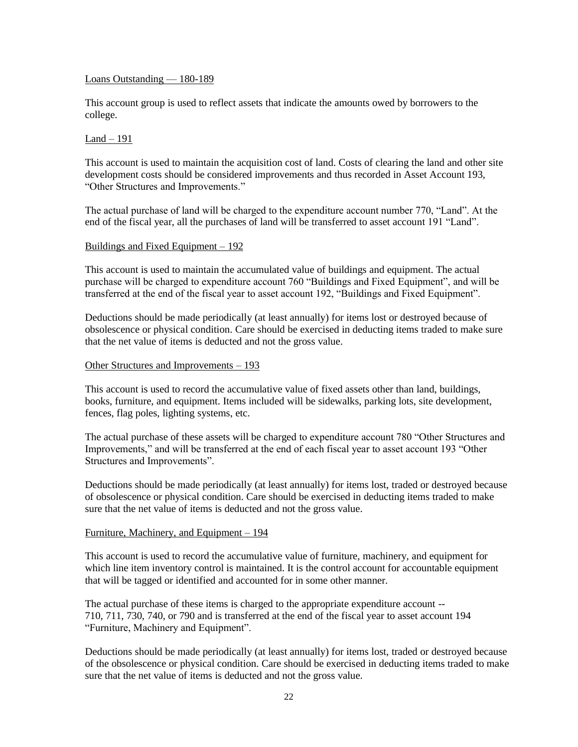#### Loans Outstanding — 180-189

This account group is used to reflect assets that indicate the amounts owed by borrowers to the college.

#### $Land - 191$

This account is used to maintain the acquisition cost of land. Costs of clearing the land and other site development costs should be considered improvements and thus recorded in Asset Account 193, "Other Structures and Improvements."

The actual purchase of land will be charged to the expenditure account number 770, "Land". At the end of the fiscal year, all the purchases of land will be transferred to asset account 191 "Land".

#### Buildings and Fixed Equipment – 192

This account is used to maintain the accumulated value of buildings and equipment. The actual purchase will be charged to expenditure account 760 "Buildings and Fixed Equipment", and will be transferred at the end of the fiscal year to asset account 192, "Buildings and Fixed Equipment".

Deductions should be made periodically (at least annually) for items lost or destroyed because of obsolescence or physical condition. Care should be exercised in deducting items traded to make sure that the net value of items is deducted and not the gross value.

#### Other Structures and Improvements – 193

This account is used to record the accumulative value of fixed assets other than land, buildings, books, furniture, and equipment. Items included will be sidewalks, parking lots, site development, fences, flag poles, lighting systems, etc.

The actual purchase of these assets will be charged to expenditure account 780 "Other Structures and Improvements," and will be transferred at the end of each fiscal year to asset account 193 "Other Structures and Improvements".

Deductions should be made periodically (at least annually) for items lost, traded or destroyed because of obsolescence or physical condition. Care should be exercised in deducting items traded to make sure that the net value of items is deducted and not the gross value.

#### Furniture, Machinery, and Equipment – 194

This account is used to record the accumulative value of furniture, machinery, and equipment for which line item inventory control is maintained. It is the control account for accountable equipment that will be tagged or identified and accounted for in some other manner.

The actual purchase of these items is charged to the appropriate expenditure account -- 710, 711, 730, 740, or 790 and is transferred at the end of the fiscal year to asset account 194 "Furniture, Machinery and Equipment".

Deductions should be made periodically (at least annually) for items lost, traded or destroyed because of the obsolescence or physical condition. Care should be exercised in deducting items traded to make sure that the net value of items is deducted and not the gross value.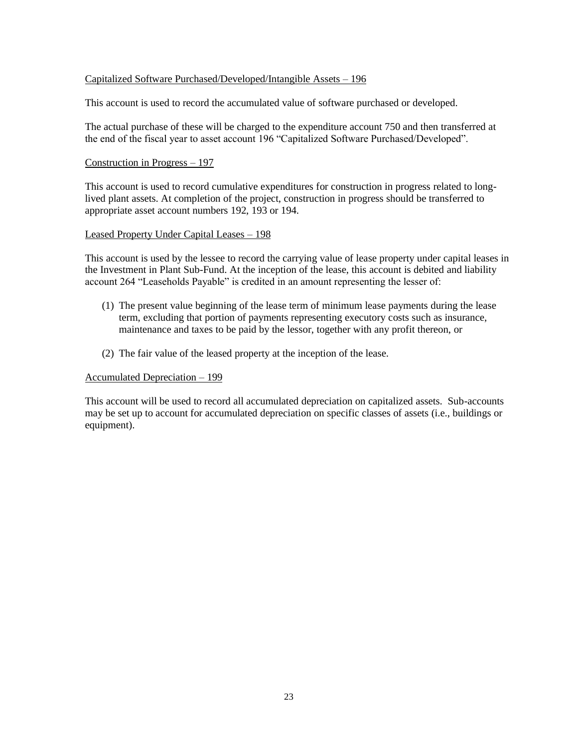## Capitalized Software Purchased/Developed/Intangible Assets – 196

This account is used to record the accumulated value of software purchased or developed.

The actual purchase of these will be charged to the expenditure account 750 and then transferred at the end of the fiscal year to asset account 196 "Capitalized Software Purchased/Developed".

#### Construction in Progress – 197

This account is used to record cumulative expenditures for construction in progress related to longlived plant assets. At completion of the project, construction in progress should be transferred to appropriate asset account numbers 192, 193 or 194.

#### Leased Property Under Capital Leases – 198

This account is used by the lessee to record the carrying value of lease property under capital leases in the Investment in Plant Sub-Fund. At the inception of the lease, this account is debited and liability account 264 "Leaseholds Payable" is credited in an amount representing the lesser of:

- (1) The present value beginning of the lease term of minimum lease payments during the lease term, excluding that portion of payments representing executory costs such as insurance, maintenance and taxes to be paid by the lessor, together with any profit thereon, or
- (2) The fair value of the leased property at the inception of the lease.

#### Accumulated Depreciation – 199

This account will be used to record all accumulated depreciation on capitalized assets. Sub-accounts may be set up to account for accumulated depreciation on specific classes of assets (i.e., buildings or equipment).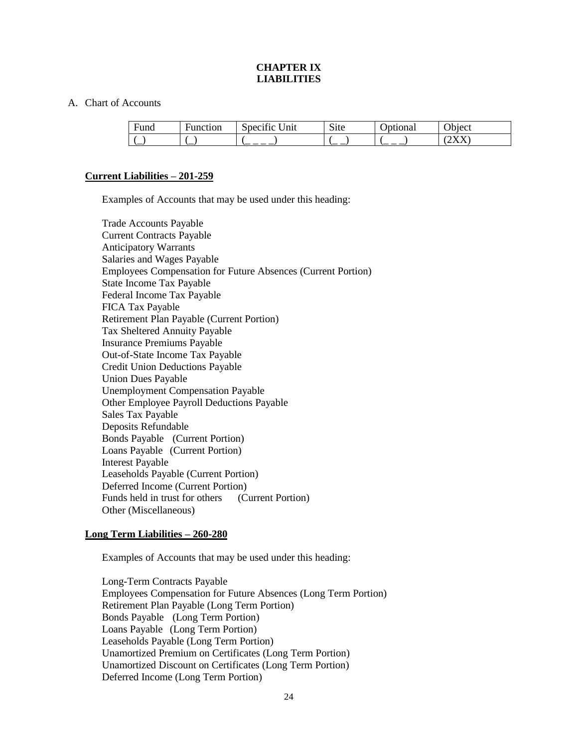## **CHAPTER IX LIABILITIES**

#### A. Chart of Accounts

| Fund | Function | $\cdot$ $\sim$<br>$\tilde{\phantom{a}}$<br>$\ln$<br>Specific | $\sim$<br>$\mathbf{S}$ | botional | $\gamma$ hject |
|------|----------|--------------------------------------------------------------|------------------------|----------|----------------|
|      | `—       |                                                              | `——                    | $ -$     | $\overline{ }$ |

## **Current Liabilities – 201-259**

Examples of Accounts that may be used under this heading:

Trade Accounts Payable Current Contracts Payable Anticipatory Warrants Salaries and Wages Payable Employees Compensation for Future Absences (Current Portion) State Income Tax Payable Federal Income Tax Payable FICA Tax Payable Retirement Plan Payable (Current Portion) Tax Sheltered Annuity Payable Insurance Premiums Payable Out-of-State Income Tax Payable Credit Union Deductions Payable Union Dues Payable Unemployment Compensation Payable Other Employee Payroll Deductions Payable Sales Tax Payable Deposits Refundable Bonds Payable (Current Portion) Loans Payable (Current Portion) Interest Payable Leaseholds Payable (Current Portion) Deferred Income (Current Portion) Funds held in trust for others (Current Portion) Other (Miscellaneous)

## **Long Term Liabilities – 260-280**

Examples of Accounts that may be used under this heading:

Long-Term Contracts Payable Employees Compensation for Future Absences (Long Term Portion) Retirement Plan Payable (Long Term Portion) Bonds Payable (Long Term Portion) Loans Payable (Long Term Portion) Leaseholds Payable (Long Term Portion) Unamortized Premium on Certificates (Long Term Portion) Unamortized Discount on Certificates (Long Term Portion) Deferred Income (Long Term Portion)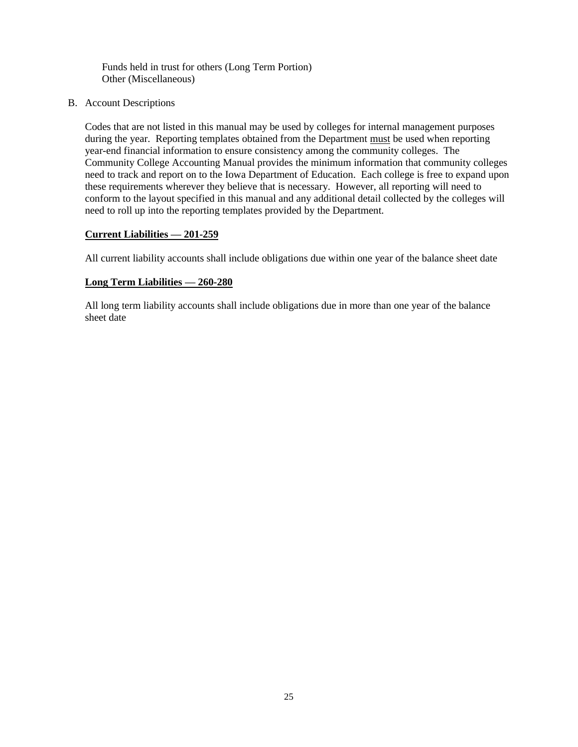Funds held in trust for others (Long Term Portion) Other (Miscellaneous)

B. Account Descriptions

Codes that are not listed in this manual may be used by colleges for internal management purposes during the year. Reporting templates obtained from the Department must be used when reporting year-end financial information to ensure consistency among the community colleges. The Community College Accounting Manual provides the minimum information that community colleges need to track and report on to the Iowa Department of Education. Each college is free to expand upon these requirements wherever they believe that is necessary. However, all reporting will need to conform to the layout specified in this manual and any additional detail collected by the colleges will need to roll up into the reporting templates provided by the Department.

## **Current Liabilities — 201-259**

All current liability accounts shall include obligations due within one year of the balance sheet date

#### **Long Term Liabilities — 260-280**

All long term liability accounts shall include obligations due in more than one year of the balance sheet date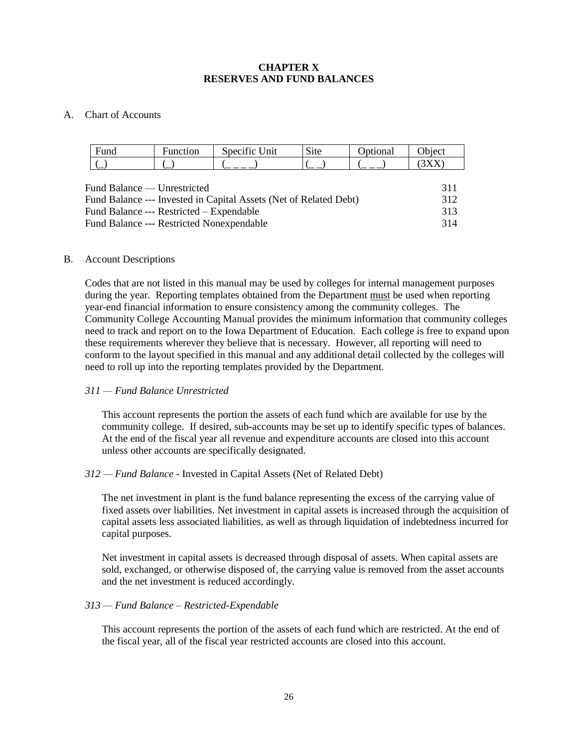## **CHAPTER X RESERVES AND FUND BALANCES**

## A. Chart of Accounts

| Fund                                                              | <b>Function</b>                          | Specific Unit | <b>Site</b> | Optional | Object |
|-------------------------------------------------------------------|------------------------------------------|---------------|-------------|----------|--------|
|                                                                   |                                          |               |             |          | (3XX)  |
|                                                                   |                                          |               |             |          |        |
|                                                                   | Fund Balance — Unrestricted              |               |             |          | 311    |
| Fund Balance --- Invested in Capital Assets (Net of Related Debt) |                                          |               |             | 312      |        |
|                                                                   | Fund Balance --- Restricted – Expendable |               |             |          | 313    |
| <b>Fund Balance --- Restricted Nonexpendable</b>                  |                                          |               |             | 314      |        |

## B. Account Descriptions

Codes that are not listed in this manual may be used by colleges for internal management purposes during the year. Reporting templates obtained from the Department must be used when reporting year-end financial information to ensure consistency among the community colleges. The Community College Accounting Manual provides the minimum information that community colleges need to track and report on to the Iowa Department of Education. Each college is free to expand upon these requirements wherever they believe that is necessary. However, all reporting will need to conform to the layout specified in this manual and any additional detail collected by the colleges will need to roll up into the reporting templates provided by the Department.

## *311 — Fund Balance Unrestricted*

This account represents the portion the assets of each fund which are available for use by the community college. If desired, sub-accounts may be set up to identify specific types of balances. At the end of the fiscal year all revenue and expenditure accounts are closed into this account unless other accounts are specifically designated.

## *312 — Fund Balance -* Invested in Capital Assets (Net of Related Debt)

The net investment in plant is the fund balance representing the excess of the carrying value of fixed assets over liabilities. Net investment in capital assets is increased through the acquisition of capital assets less associated liabilities, as well as through liquidation of indebtedness incurred for capital purposes.

Net investment in capital assets is decreased through disposal of assets. When capital assets are sold, exchanged, or otherwise disposed of, the carrying value is removed from the asset accounts and the net investment is reduced accordingly.

## *313 — Fund Balance – Restricted-Expendable*

This account represents the portion of the assets of each fund which are restricted. At the end of the fiscal year, all of the fiscal year restricted accounts are closed into this account.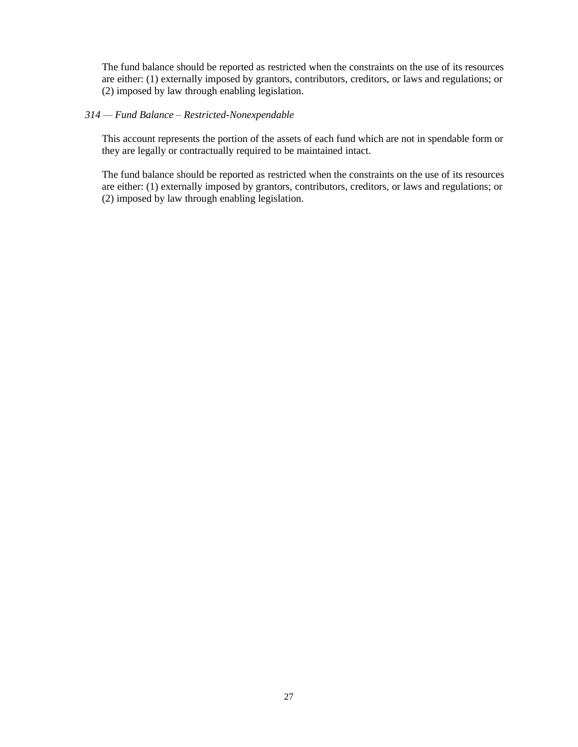The fund balance should be reported as restricted when the constraints on the use of its resources are either: (1) externally imposed by grantors, contributors, creditors, or laws and regulations; or (2) imposed by law through enabling legislation.

## *314 — Fund Balance – Restricted-Nonexpendable*

This account represents the portion of the assets of each fund which are not in spendable form or they are legally or contractually required to be maintained intact.

The fund balance should be reported as restricted when the constraints on the use of its resources are either: (1) externally imposed by grantors, contributors, creditors, or laws and regulations; or (2) imposed by law through enabling legislation.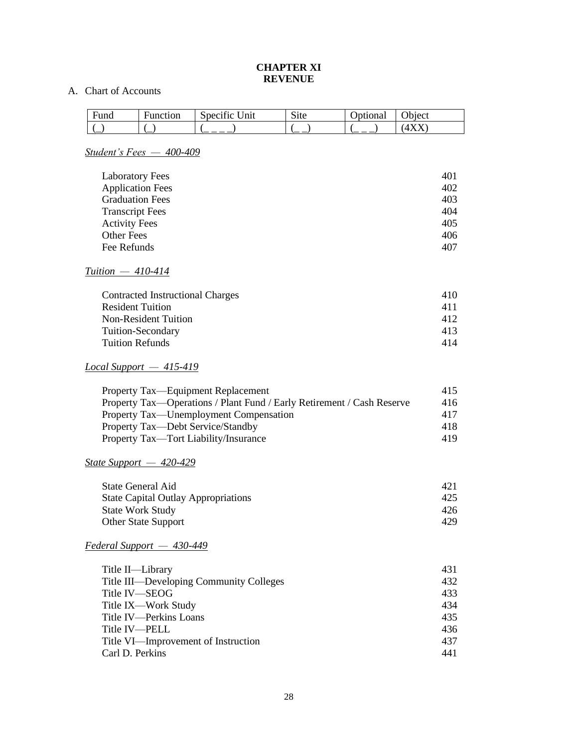## **CHAPTER XI REVENUE**

# A. Chart of Accounts

| Funa | <b>Function</b> | $\sim$<br>سمد<br>Jnit<br>Specific | $\sim$<br>S <sub>1</sub> te | ptional | $\gamma$ hject |
|------|-----------------|-----------------------------------|-----------------------------|---------|----------------|
| `—   | ┈               |                                   |                             |         | .              |

# *Student's Fees — 400-409*

| <b>Laboratory Fees</b>  | 401 |
|-------------------------|-----|
| <b>Application Fees</b> | 402 |
| <b>Graduation Fees</b>  | 403 |
| <b>Transcript Fees</b>  | 404 |
| <b>Activity Fees</b>    | 405 |
| Other Fees              | 406 |
| Fee Refunds             | 407 |

# *Tuition — 410-414*

| <b>Contracted Instructional Charges</b> | 410  |
|-----------------------------------------|------|
| <b>Resident Tuition</b>                 | 411  |
| <b>Non-Resident Tuition</b>             | 412  |
| Tuition-Secondary                       | 413. |
| Tuition Refunds                         | 414  |

# *Local Support — 415-419*

| Property Tax—Equipment Replacement                                     | 415 |
|------------------------------------------------------------------------|-----|
| Property Tax—Operations / Plant Fund / Early Retirement / Cash Reserve | 416 |
| Property Tax—Unemployment Compensation                                 | 417 |
| Property Tax—Debt Service/Standby                                      | 418 |
| Property Tax—Tort Liability/Insurance                                  | 419 |

# *State Support — 420-429*

| State General Aid                          | 421 |
|--------------------------------------------|-----|
| <b>State Capital Outlay Appropriations</b> | 425 |
| <b>State Work Study</b>                    | 426 |
| <b>Other State Support</b>                 | 429 |
|                                            |     |

# *Federal Support — 430-449*

| Title II-Library                        | 431 |
|-----------------------------------------|-----|
| Title III—Developing Community Colleges | 432 |
| Title IV—SEOG                           | 433 |
| Title IX—Work Study                     | 434 |
| Title IV-Perkins Loans                  | 435 |
| Title IV—PELL                           | 436 |
| Title VI—Improvement of Instruction     | 437 |
| Carl D. Perkins                         | 441 |
|                                         |     |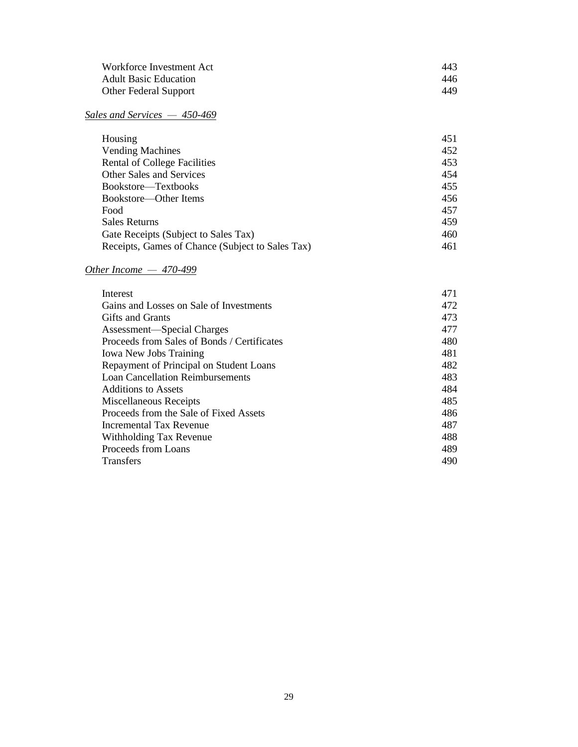| Workforce Investment Act     | 443 |
|------------------------------|-----|
| <b>Adult Basic Education</b> | 446 |
| <b>Other Federal Support</b> | 449 |

# *Sales and Services — 450-469*

| Housing                                          | 451 |
|--------------------------------------------------|-----|
| <b>Vending Machines</b>                          | 452 |
| Rental of College Facilities                     | 453 |
| <b>Other Sales and Services</b>                  | 454 |
| Bookstore—Textbooks                              | 455 |
| Bookstore—Other Items                            | 456 |
| Food                                             | 457 |
| <b>Sales Returns</b>                             | 459 |
| Gate Receipts (Subject to Sales Tax)             | 460 |
| Receipts, Games of Chance (Subject to Sales Tax) | 461 |

# *Other Income — 470-499*

| Interest                                    | 471 |
|---------------------------------------------|-----|
| Gains and Losses on Sale of Investments     | 472 |
| <b>Gifts and Grants</b>                     | 473 |
| Assessment—Special Charges                  | 477 |
| Proceeds from Sales of Bonds / Certificates | 480 |
| <b>Iowa New Jobs Training</b>               | 481 |
| Repayment of Principal on Student Loans     | 482 |
| <b>Loan Cancellation Reimbursements</b>     | 483 |
| Additions to Assets                         | 484 |
| Miscellaneous Receipts                      | 485 |
| Proceeds from the Sale of Fixed Assets      | 486 |
| Incremental Tax Revenue                     | 487 |
| Withholding Tax Revenue                     | 488 |
| Proceeds from Loans                         | 489 |
| <b>Transfers</b>                            | 490 |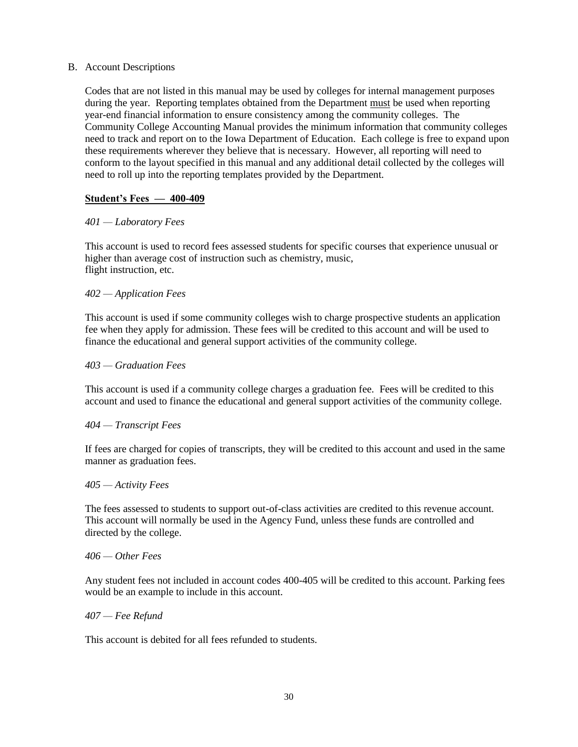## B. Account Descriptions

Codes that are not listed in this manual may be used by colleges for internal management purposes during the year. Reporting templates obtained from the Department must be used when reporting year-end financial information to ensure consistency among the community colleges. The Community College Accounting Manual provides the minimum information that community colleges need to track and report on to the Iowa Department of Education. Each college is free to expand upon these requirements wherever they believe that is necessary. However, all reporting will need to conform to the layout specified in this manual and any additional detail collected by the colleges will need to roll up into the reporting templates provided by the Department.

## **Student's Fees — 400-409**

## *401 — Laboratory Fees*

This account is used to record fees assessed students for specific courses that experience unusual or higher than average cost of instruction such as chemistry, music, flight instruction, etc.

## *402 — Application Fees*

This account is used if some community colleges wish to charge prospective students an application fee when they apply for admission. These fees will be credited to this account and will be used to finance the educational and general support activities of the community college.

## *403 — Graduation Fees*

This account is used if a community college charges a graduation fee. Fees will be credited to this account and used to finance the educational and general support activities of the community college.

## *404 — Transcript Fees*

If fees are charged for copies of transcripts, they will be credited to this account and used in the same manner as graduation fees.

## *405 — Activity Fees*

The fees assessed to students to support out-of-class activities are credited to this revenue account. This account will normally be used in the Agency Fund, unless these funds are controlled and directed by the college.

## *406 — Other Fees*

Any student fees not included in account codes 400-405 will be credited to this account. Parking fees would be an example to include in this account.

## *407 — Fee Refund*

This account is debited for all fees refunded to students.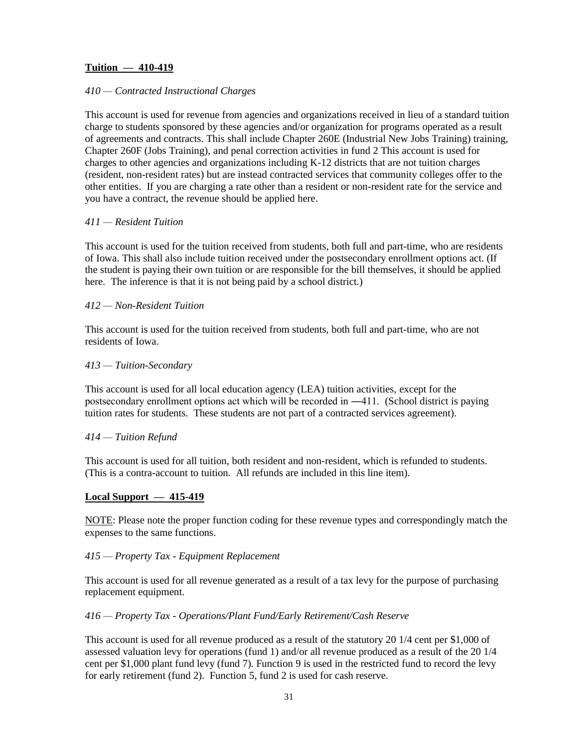## **Tuition — 410-419**

## *410 — Contracted Instructional Charges*

This account is used for revenue from agencies and organizations received in lieu of a standard tuition charge to students sponsored by these agencies and/or organization for programs operated as a result of agreements and contracts. This shall include Chapter 260E (Industrial New Jobs Training) training, Chapter 260F (Jobs Training), and penal correction activities in fund 2 This account is used for charges to other agencies and organizations including K-12 districts that are not tuition charges (resident, non-resident rates) but are instead contracted services that community colleges offer to the other entities. If you are charging a rate other than a resident or non-resident rate for the service and you have a contract, the revenue should be applied here.

#### *411 — Resident Tuition*

This account is used for the tuition received from students, both full and part-time, who are residents of Iowa. This shall also include tuition received under the postsecondary enrollment options act. (If the student is paying their own tuition or are responsible for the bill themselves, it should be applied here. The inference is that it is not being paid by a school district.)

#### *412 — Non-Resident Tuition*

This account is used for the tuition received from students, both full and part-time, who are not residents of Iowa.

#### *413 — Tuition-Secondary*

This account is used for all local education agency (LEA) tuition activities, except for the postsecondary enrollment options act which will be recorded in ―411. (School district is paying tuition rates for students. These students are not part of a contracted services agreement).

#### *414 — Tuition Refund*

This account is used for all tuition, both resident and non-resident, which is refunded to students. (This is a contra-account to tuition. All refunds are included in this line item).

#### **Local Support — 415-419**

NOTE: Please note the proper function coding for these revenue types and correspondingly match the expenses to the same functions.

#### *415 — Property Tax - Equipment Replacement*

This account is used for all revenue generated as a result of a tax levy for the purpose of purchasing replacement equipment.

#### *416 — Property Tax - Operations/Plant Fund/Early Retirement/Cash Reserve*

This account is used for all revenue produced as a result of the statutory 20 1/4 cent per \$1,000 of assessed valuation levy for operations (fund 1) and/or all revenue produced as a result of the 20 1/4 cent per \$1,000 plant fund levy (fund 7). Function 9 is used in the restricted fund to record the levy for early retirement (fund 2). Function 5, fund 2 is used for cash reserve.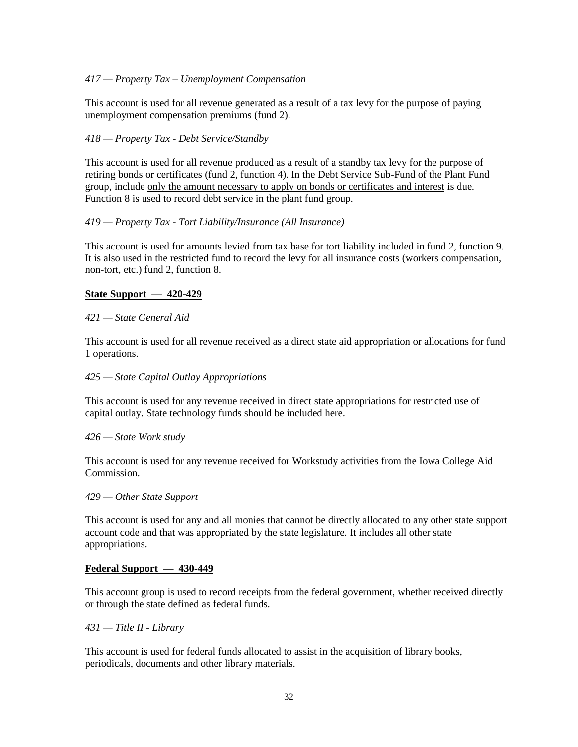## *417 — Property Tax – Unemployment Compensation*

This account is used for all revenue generated as a result of a tax levy for the purpose of paying unemployment compensation premiums (fund 2).

#### *418 — Property Tax - Debt Service/Standby*

This account is used for all revenue produced as a result of a standby tax levy for the purpose of retiring bonds or certificates (fund 2, function 4). In the Debt Service Sub-Fund of the Plant Fund group, include only the amount necessary to apply on bonds or certificates and interest is due. Function 8 is used to record debt service in the plant fund group.

#### *419 — Property Tax - Tort Liability/Insurance (All Insurance)*

This account is used for amounts levied from tax base for tort liability included in fund 2, function 9. It is also used in the restricted fund to record the levy for all insurance costs (workers compensation, non-tort, etc.) fund 2, function 8.

#### **State Support — 420-429**

#### *421 — State General Aid*

This account is used for all revenue received as a direct state aid appropriation or allocations for fund 1 operations.

#### *425 — State Capital Outlay Appropriations*

This account is used for any revenue received in direct state appropriations for restricted use of capital outlay. State technology funds should be included here.

#### *426 — State Work study*

This account is used for any revenue received for Workstudy activities from the Iowa College Aid Commission.

#### *429 — Other State Support*

This account is used for any and all monies that cannot be directly allocated to any other state support account code and that was appropriated by the state legislature. It includes all other state appropriations.

#### **Federal Support — 430-449**

This account group is used to record receipts from the federal government, whether received directly or through the state defined as federal funds.

#### *431 — Title II - Library*

This account is used for federal funds allocated to assist in the acquisition of library books, periodicals, documents and other library materials.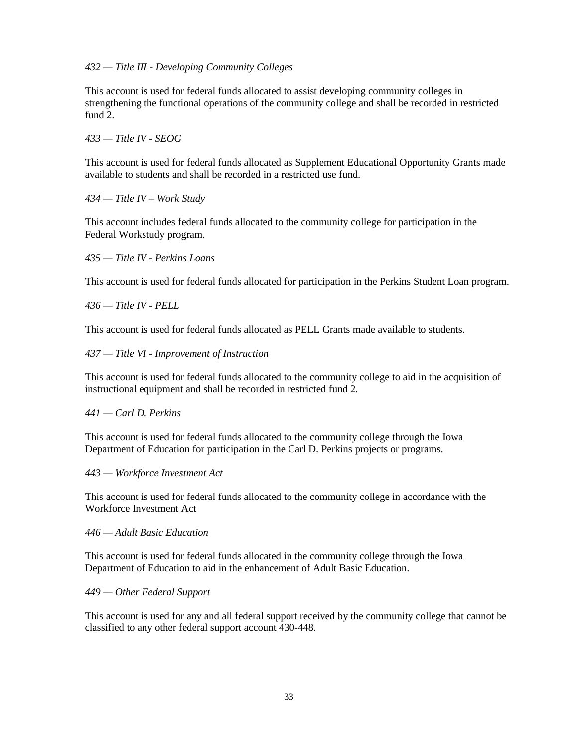## *432 — Title III - Developing Community Colleges*

This account is used for federal funds allocated to assist developing community colleges in strengthening the functional operations of the community college and shall be recorded in restricted fund 2.

## *433 — Title IV - SEOG*

This account is used for federal funds allocated as Supplement Educational Opportunity Grants made available to students and shall be recorded in a restricted use fund.

## *434 — Title IV – Work Study*

This account includes federal funds allocated to the community college for participation in the Federal Workstudy program.

#### *435 — Title IV - Perkins Loans*

This account is used for federal funds allocated for participation in the Perkins Student Loan program.

#### *436 — Title IV - PELL*

This account is used for federal funds allocated as PELL Grants made available to students.

#### *437 — Title VI - Improvement of Instruction*

This account is used for federal funds allocated to the community college to aid in the acquisition of instructional equipment and shall be recorded in restricted fund 2.

## *441 — Carl D. Perkins*

This account is used for federal funds allocated to the community college through the Iowa Department of Education for participation in the Carl D. Perkins projects or programs.

#### *443 — Workforce Investment Act*

This account is used for federal funds allocated to the community college in accordance with the Workforce Investment Act

#### *446 — Adult Basic Education*

This account is used for federal funds allocated in the community college through the Iowa Department of Education to aid in the enhancement of Adult Basic Education.

#### *449 — Other Federal Support*

This account is used for any and all federal support received by the community college that cannot be classified to any other federal support account 430-448.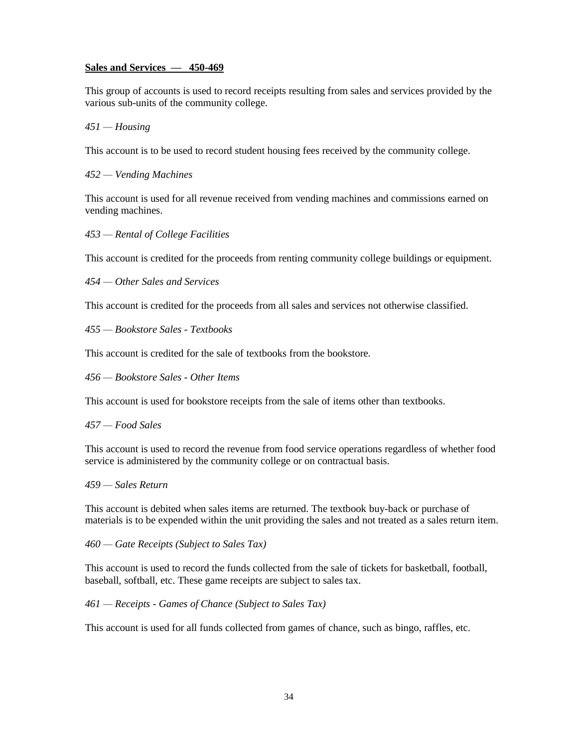## **Sales and Services — 450-469**

This group of accounts is used to record receipts resulting from sales and services provided by the various sub-units of the community college.

## *451 — Housing*

This account is to be used to record student housing fees received by the community college.

#### *452 — Vending Machines*

This account is used for all revenue received from vending machines and commissions earned on vending machines.

*453 — Rental of College Facilities*

This account is credited for the proceeds from renting community college buildings or equipment.

*454 — Other Sales and Services*

This account is credited for the proceeds from all sales and services not otherwise classified.

*455 — Bookstore Sales - Textbooks*

This account is credited for the sale of textbooks from the bookstore.

*456 — Bookstore Sales - Other Items*

This account is used for bookstore receipts from the sale of items other than textbooks.

#### *457 — Food Sales*

This account is used to record the revenue from food service operations regardless of whether food service is administered by the community college or on contractual basis.

#### *459 — Sales Return*

This account is debited when sales items are returned. The textbook buy-back or purchase of materials is to be expended within the unit providing the sales and not treated as a sales return item.

*460 — Gate Receipts (Subject to Sales Tax)*

This account is used to record the funds collected from the sale of tickets for basketball, football, baseball, softball, etc. These game receipts are subject to sales tax.

## *461 — Receipts - Games of Chance (Subject to Sales Tax)*

This account is used for all funds collected from games of chance, such as bingo, raffles, etc.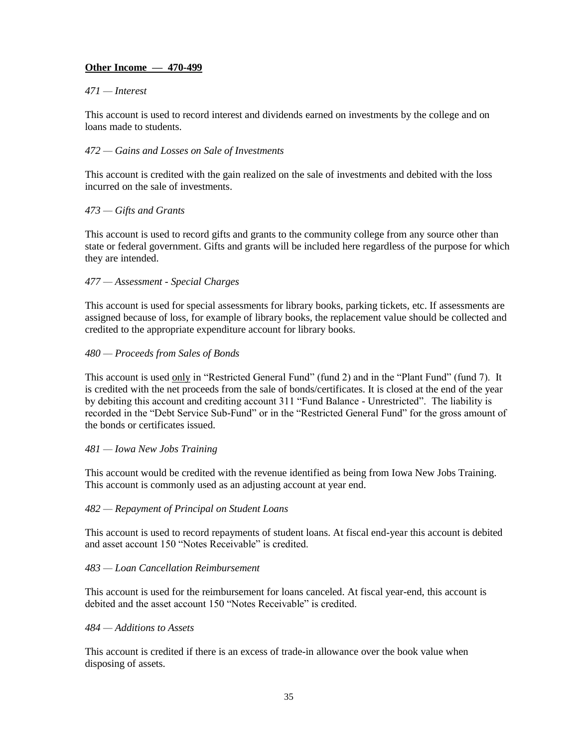# **Other Income — 470-499**

## *471 — Interest*

This account is used to record interest and dividends earned on investments by the college and on loans made to students.

## *472 — Gains and Losses on Sale of Investments*

This account is credited with the gain realized on the sale of investments and debited with the loss incurred on the sale of investments.

## *473 — Gifts and Grants*

This account is used to record gifts and grants to the community college from any source other than state or federal government. Gifts and grants will be included here regardless of the purpose for which they are intended.

## *477 — Assessment - Special Charges*

This account is used for special assessments for library books, parking tickets, etc. If assessments are assigned because of loss, for example of library books, the replacement value should be collected and credited to the appropriate expenditure account for library books.

## *480 — Proceeds from Sales of Bonds*

This account is used only in "Restricted General Fund" (fund 2) and in the "Plant Fund" (fund 7). It is credited with the net proceeds from the sale of bonds/certificates. It is closed at the end of the year by debiting this account and crediting account 311 "Fund Balance - Unrestricted". The liability is recorded in the "Debt Service Sub-Fund" or in the "Restricted General Fund" for the gross amount of the bonds or certificates issued.

## *481 — Iowa New Jobs Training*

This account would be credited with the revenue identified as being from Iowa New Jobs Training. This account is commonly used as an adjusting account at year end.

## *482 — Repayment of Principal on Student Loans*

This account is used to record repayments of student loans. At fiscal end-year this account is debited and asset account 150 "Notes Receivable" is credited.

## *483 — Loan Cancellation Reimbursement*

This account is used for the reimbursement for loans canceled. At fiscal year-end, this account is debited and the asset account 150 "Notes Receivable" is credited.

## *484 — Additions to Assets*

This account is credited if there is an excess of trade-in allowance over the book value when disposing of assets.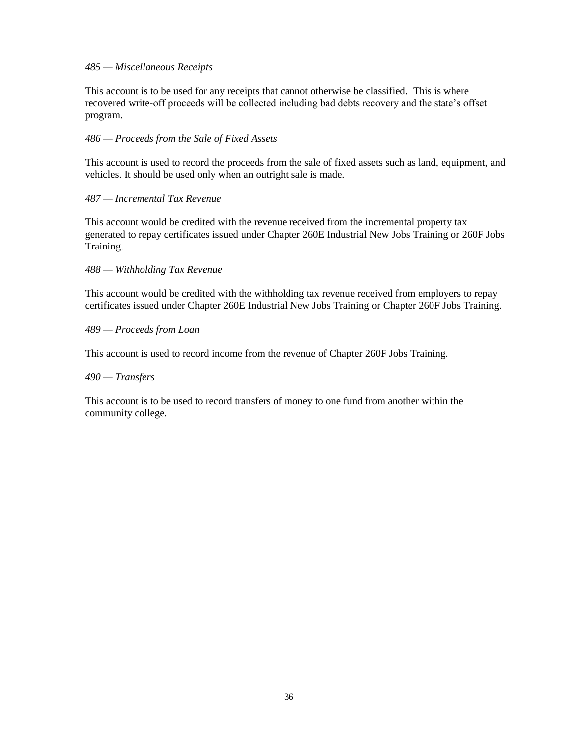## *485 — Miscellaneous Receipts*

This account is to be used for any receipts that cannot otherwise be classified. This is where recovered write-off proceeds will be collected including bad debts recovery and the state's offset program.

## *486 — Proceeds from the Sale of Fixed Assets*

This account is used to record the proceeds from the sale of fixed assets such as land, equipment, and vehicles. It should be used only when an outright sale is made.

## *487 — Incremental Tax Revenue*

This account would be credited with the revenue received from the incremental property tax generated to repay certificates issued under Chapter 260E Industrial New Jobs Training or 260F Jobs Training.

*488 — Withholding Tax Revenue*

This account would be credited with the withholding tax revenue received from employers to repay certificates issued under Chapter 260E Industrial New Jobs Training or Chapter 260F Jobs Training.

## *489 — Proceeds from Loan*

This account is used to record income from the revenue of Chapter 260F Jobs Training.

## *490 — Transfers*

This account is to be used to record transfers of money to one fund from another within the community college.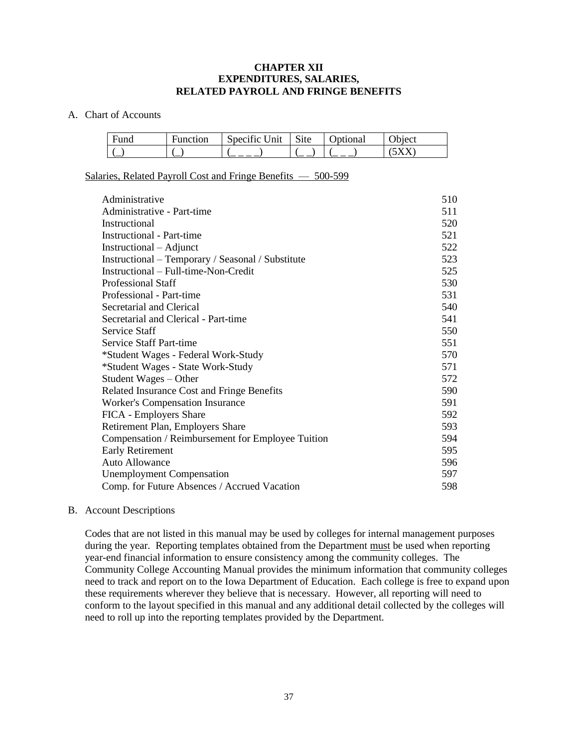## **CHAPTER XII EXPENDITURES, SALARIES, RELATED PAYROLL AND FRINGE BENEFITS**

#### A. Chart of Accounts

| Fund                     | Function | $\cdot$ $\sim$<br>Specific Unit | $\sim$<br>$\mathbf{Set}$ | <b>J</b> otional | biect) |
|--------------------------|----------|---------------------------------|--------------------------|------------------|--------|
| $\overline{\phantom{0}}$ |          |                                 | $\overline{\phantom{a}}$ |                  |        |

Salaries, Related Payroll Cost and Fringe Benefits — 500-599

| Administrative                                    | 510 |
|---------------------------------------------------|-----|
| Administrative - Part-time                        | 511 |
| Instructional                                     | 520 |
| <b>Instructional - Part-time</b>                  | 521 |
| Instructional – Adjunct                           | 522 |
| Instructional – Temporary / Seasonal / Substitute | 523 |
| Instructional – Full-time-Non-Credit              | 525 |
| Professional Staff                                | 530 |
| Professional - Part-time                          | 531 |
| Secretarial and Clerical                          | 540 |
| Secretarial and Clerical - Part-time              | 541 |
| Service Staff                                     | 550 |
| Service Staff Part-time                           | 551 |
| *Student Wages - Federal Work-Study               | 570 |
| *Student Wages - State Work-Study                 | 571 |
| Student Wages – Other                             | 572 |
| Related Insurance Cost and Fringe Benefits        | 590 |
| <b>Worker's Compensation Insurance</b>            | 591 |
| FICA - Employers Share                            | 592 |
| Retirement Plan, Employers Share                  | 593 |
| Compensation / Reimbursement for Employee Tuition | 594 |
| <b>Early Retirement</b>                           | 595 |
| <b>Auto Allowance</b>                             | 596 |
| <b>Unemployment Compensation</b>                  | 597 |
| Comp. for Future Absences / Accrued Vacation      | 598 |

#### B. Account Descriptions

Codes that are not listed in this manual may be used by colleges for internal management purposes during the year. Reporting templates obtained from the Department must be used when reporting year-end financial information to ensure consistency among the community colleges. The Community College Accounting Manual provides the minimum information that community colleges need to track and report on to the Iowa Department of Education. Each college is free to expand upon these requirements wherever they believe that is necessary. However, all reporting will need to conform to the layout specified in this manual and any additional detail collected by the colleges will need to roll up into the reporting templates provided by the Department.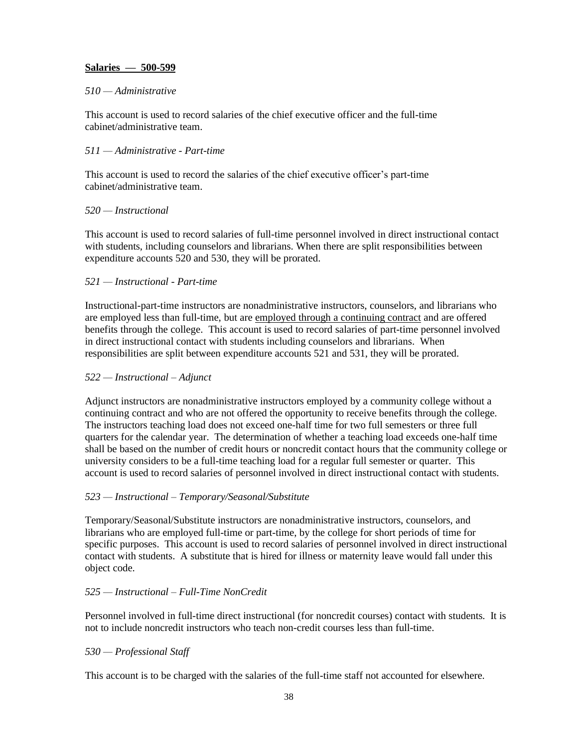## **Salaries — 500-599**

## *510 — Administrative*

This account is used to record salaries of the chief executive officer and the full-time cabinet/administrative team.

## *511 — Administrative - Part-time*

This account is used to record the salaries of the chief executive officer's part-time cabinet/administrative team.

#### *520 — Instructional*

This account is used to record salaries of full-time personnel involved in direct instructional contact with students, including counselors and librarians. When there are split responsibilities between expenditure accounts 520 and 530, they will be prorated.

#### *521 — Instructional - Part-time*

Instructional-part-time instructors are nonadministrative instructors, counselors, and librarians who are employed less than full-time, but are employed through a continuing contract and are offered benefits through the college. This account is used to record salaries of part-time personnel involved in direct instructional contact with students including counselors and librarians. When responsibilities are split between expenditure accounts 521 and 531, they will be prorated.

#### *522 — Instructional – Adjunct*

Adjunct instructors are nonadministrative instructors employed by a community college without a continuing contract and who are not offered the opportunity to receive benefits through the college. The instructors teaching load does not exceed one-half time for two full semesters or three full quarters for the calendar year. The determination of whether a teaching load exceeds one-half time shall be based on the number of credit hours or noncredit contact hours that the community college or university considers to be a full-time teaching load for a regular full semester or quarter. This account is used to record salaries of personnel involved in direct instructional contact with students.

## *523 — Instructional – Temporary/Seasonal/Substitute*

Temporary/Seasonal/Substitute instructors are nonadministrative instructors, counselors, and librarians who are employed full-time or part-time, by the college for short periods of time for specific purposes. This account is used to record salaries of personnel involved in direct instructional contact with students. A substitute that is hired for illness or maternity leave would fall under this object code.

## *525 — Instructional – Full-Time NonCredit*

Personnel involved in full-time direct instructional (for noncredit courses) contact with students. It is not to include noncredit instructors who teach non-credit courses less than full-time.

## *530 — Professional Staff*

This account is to be charged with the salaries of the full-time staff not accounted for elsewhere.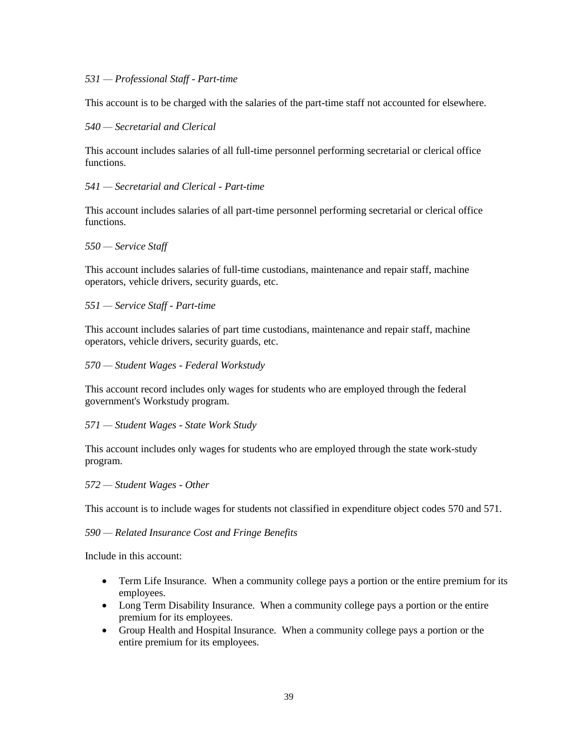#### *531 — Professional Staff - Part-time*

This account is to be charged with the salaries of the part-time staff not accounted for elsewhere.

#### *540 — Secretarial and Clerical*

This account includes salaries of all full-time personnel performing secretarial or clerical office functions.

*541 — Secretarial and Clerical - Part-time*

This account includes salaries of all part-time personnel performing secretarial or clerical office functions.

*550 — Service Staff* 

This account includes salaries of full-time custodians, maintenance and repair staff, machine operators, vehicle drivers, security guards, etc.

*551 — Service Staff - Part-time*

This account includes salaries of part time custodians, maintenance and repair staff, machine operators, vehicle drivers, security guards, etc.

*570 — Student Wages - Federal Workstudy*

This account record includes only wages for students who are employed through the federal government's Workstudy program.

*571 — Student Wages - State Work Study*

This account includes only wages for students who are employed through the state work-study program.

*572 — Student Wages - Other*

This account is to include wages for students not classified in expenditure object codes 570 and 571.

*590 — Related Insurance Cost and Fringe Benefits*

Include in this account:

- Term Life Insurance. When a community college pays a portion or the entire premium for its employees.
- Long Term Disability Insurance. When a community college pays a portion or the entire premium for its employees.
- Group Health and Hospital Insurance. When a community college pays a portion or the entire premium for its employees.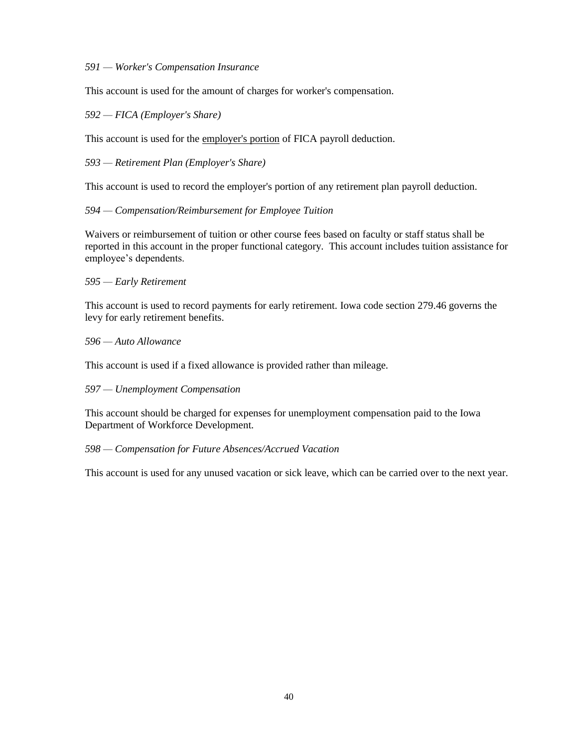#### *591 — Worker's Compensation Insurance*

This account is used for the amount of charges for worker's compensation.

#### *592 — FICA (Employer's Share)*

This account is used for the employer's portion of FICA payroll deduction.

## *593 — Retirement Plan (Employer's Share)*

This account is used to record the employer's portion of any retirement plan payroll deduction.

#### *594 — Compensation/Reimbursement for Employee Tuition*

Waivers or reimbursement of tuition or other course fees based on faculty or staff status shall be reported in this account in the proper functional category. This account includes tuition assistance for employee's dependents.

#### *595 — Early Retirement*

This account is used to record payments for early retirement. Iowa code section 279.46 governs the levy for early retirement benefits.

#### *596 — Auto Allowance*

This account is used if a fixed allowance is provided rather than mileage.

## *597 — Unemployment Compensation*

This account should be charged for expenses for unemployment compensation paid to the Iowa Department of Workforce Development.

## *598 — Compensation for Future Absences/Accrued Vacation*

This account is used for any unused vacation or sick leave, which can be carried over to the next year.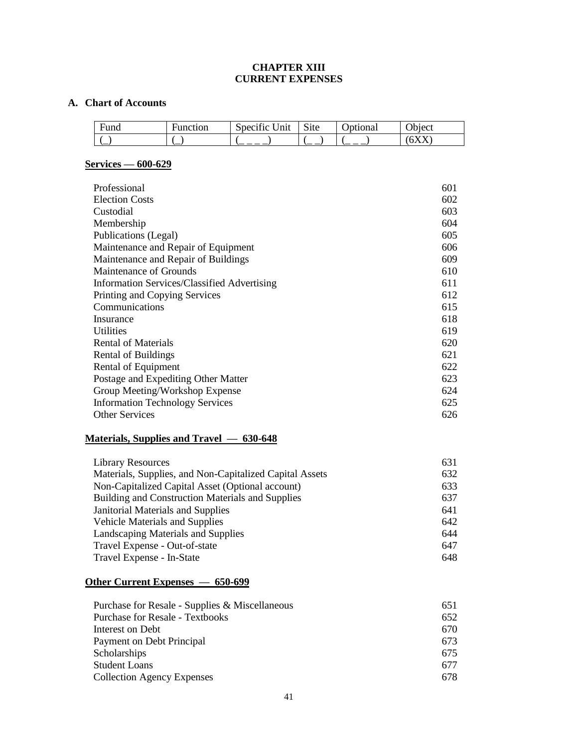# **CHAPTER XIII CURRENT EXPENSES**

#### **A. Chart of Accounts**

| Fund | −<br>Function | . .<br>$\ln$<br>specific | $\sim$ .<br>S <sub>1</sub> te | <b>P</b> otional | biect          |
|------|---------------|--------------------------|-------------------------------|------------------|----------------|
| `—   |               |                          |                               |                  | $\overline{u}$ |

# **Services — 600-629**

| Professional                                       | 601 |
|----------------------------------------------------|-----|
| <b>Election Costs</b>                              | 602 |
| Custodial                                          | 603 |
| Membership                                         | 604 |
| Publications (Legal)                               | 605 |
| Maintenance and Repair of Equipment                | 606 |
| Maintenance and Repair of Buildings                | 609 |
| Maintenance of Grounds                             | 610 |
| <b>Information Services/Classified Advertising</b> | 611 |
| Printing and Copying Services                      | 612 |
| Communications                                     | 615 |
| Insurance                                          | 618 |
| Utilities                                          | 619 |
| <b>Rental of Materials</b>                         | 620 |
| Rental of Buildings                                | 621 |
| Rental of Equipment                                | 622 |
| Postage and Expediting Other Matter                | 623 |
| Group Meeting/Workshop Expense                     | 624 |
| <b>Information Technology Services</b>             | 625 |
| <b>Other Services</b>                              | 626 |

# **Materials, Supplies and Travel — 630-648**

| <b>Library Resources</b>                                | 631 |
|---------------------------------------------------------|-----|
| Materials, Supplies, and Non-Capitalized Capital Assets | 632 |
| Non-Capitalized Capital Asset (Optional account)        | 633 |
| Building and Construction Materials and Supplies        | 637 |
| Janitorial Materials and Supplies                       | 641 |
| <b>Vehicle Materials and Supplies</b>                   | 642 |
| Landscaping Materials and Supplies                      | 644 |
| Travel Expense - Out-of-state                           | 647 |
| Travel Expense - In-State                               | 648 |

# **Other Current Expenses — 650-699**

| Purchase for Resale - Supplies & Miscellaneous | 651 |
|------------------------------------------------|-----|
| <b>Purchase for Resale - Textbooks</b>         | 652 |
| Interest on Debt                               | 670 |
| Payment on Debt Principal                      | 673 |
| Scholarships                                   | 675 |
| <b>Student Loans</b>                           | 677 |
| <b>Collection Agency Expenses</b>              | 678 |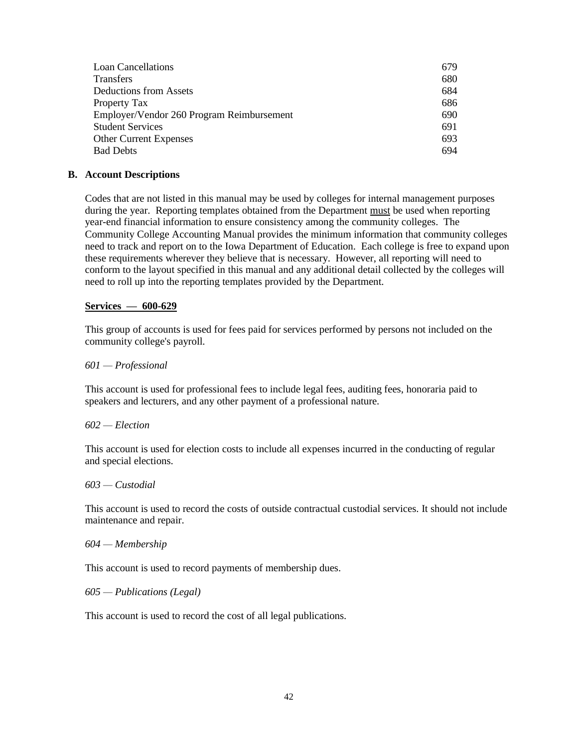| <b>Loan Cancellations</b>                 | 679 |
|-------------------------------------------|-----|
| <b>Transfers</b>                          | 680 |
| Deductions from Assets                    | 684 |
| Property Tax                              | 686 |
| Employer/Vendor 260 Program Reimbursement | 690 |
| <b>Student Services</b>                   | 691 |
| <b>Other Current Expenses</b>             | 693 |
| <b>Bad Debts</b>                          | 694 |

#### **B. Account Descriptions**

Codes that are not listed in this manual may be used by colleges for internal management purposes during the year. Reporting templates obtained from the Department must be used when reporting year-end financial information to ensure consistency among the community colleges. The Community College Accounting Manual provides the minimum information that community colleges need to track and report on to the Iowa Department of Education. Each college is free to expand upon these requirements wherever they believe that is necessary. However, all reporting will need to conform to the layout specified in this manual and any additional detail collected by the colleges will need to roll up into the reporting templates provided by the Department.

#### **Services — 600-629**

This group of accounts is used for fees paid for services performed by persons not included on the community college's payroll.

#### *601 — Professional*

This account is used for professional fees to include legal fees, auditing fees, honoraria paid to speakers and lecturers, and any other payment of a professional nature.

#### *602 — Election*

This account is used for election costs to include all expenses incurred in the conducting of regular and special elections.

#### *603 — Custodial*

This account is used to record the costs of outside contractual custodial services. It should not include maintenance and repair.

#### *604 — Membership*

This account is used to record payments of membership dues.

#### *605 — Publications (Legal)*

This account is used to record the cost of all legal publications.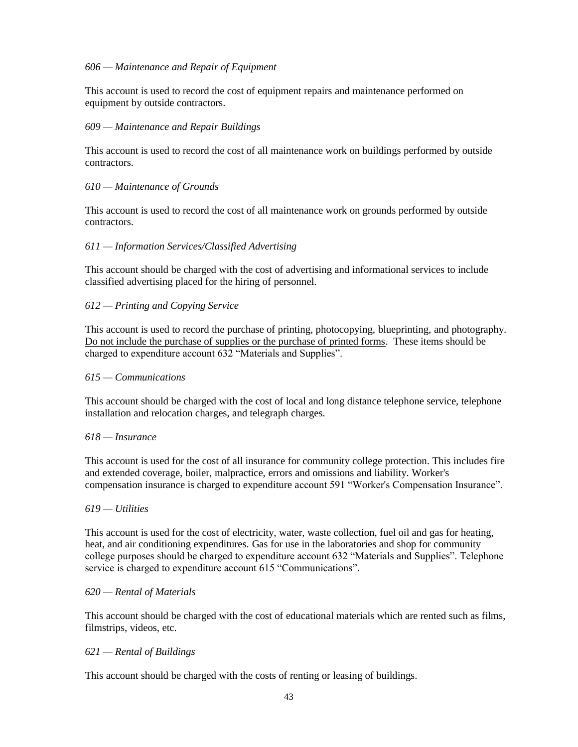## *606 — Maintenance and Repair of Equipment*

This account is used to record the cost of equipment repairs and maintenance performed on equipment by outside contractors.

#### *609 — Maintenance and Repair Buildings*

This account is used to record the cost of all maintenance work on buildings performed by outside contractors.

#### *610 — Maintenance of Grounds*

This account is used to record the cost of all maintenance work on grounds performed by outside contractors.

## *611 — Information Services/Classified Advertising*

This account should be charged with the cost of advertising and informational services to include classified advertising placed for the hiring of personnel.

## *612 — Printing and Copying Service*

This account is used to record the purchase of printing, photocopying, blueprinting, and photography. Do not include the purchase of supplies or the purchase of printed forms. These items should be charged to expenditure account 632 "Materials and Supplies".

#### *615 — Communications*

This account should be charged with the cost of local and long distance telephone service, telephone installation and relocation charges, and telegraph charges.

#### *618 — Insurance*

This account is used for the cost of all insurance for community college protection. This includes fire and extended coverage, boiler, malpractice, errors and omissions and liability. Worker's compensation insurance is charged to expenditure account 591 "Worker's Compensation Insurance".

#### *619 — Utilities*

This account is used for the cost of electricity, water, waste collection, fuel oil and gas for heating, heat, and air conditioning expenditures. Gas for use in the laboratories and shop for community college purposes should be charged to expenditure account 632 "Materials and Supplies". Telephone service is charged to expenditure account 615 "Communications".

#### *620 — Rental of Materials*

This account should be charged with the cost of educational materials which are rented such as films, filmstrips, videos, etc.

## *621 — Rental of Buildings*

This account should be charged with the costs of renting or leasing of buildings.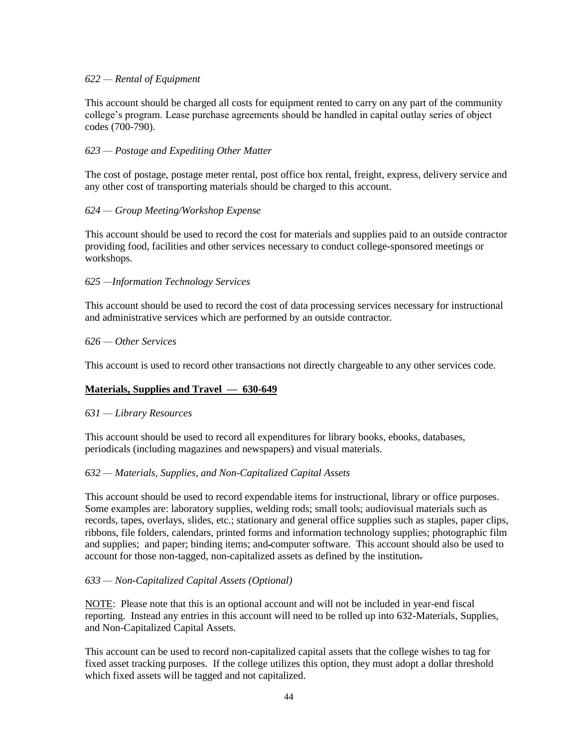## *622 — Rental of Equipment*

This account should be charged all costs for equipment rented to carry on any part of the community college's program. Lease purchase agreements should be handled in capital outlay series of object codes (700-790).

## *623 — Postage and Expediting Other Matter*

The cost of postage, postage meter rental, post office box rental, freight, express, delivery service and any other cost of transporting materials should be charged to this account.

#### *624 — Group Meeting/Workshop Expense*

This account should be used to record the cost for materials and supplies paid to an outside contractor providing food, facilities and other services necessary to conduct college-sponsored meetings or workshops.

#### *625 —Information Technology Services*

This account should be used to record the cost of data processing services necessary for instructional and administrative services which are performed by an outside contractor.

#### *626 — Other Services*

This account is used to record other transactions not directly chargeable to any other services code.

## **Materials, Supplies and Travel — 630-649**

#### *631 — Library Resources*

This account should be used to record all expenditures for library books, ebooks, databases, periodicals (including magazines and newspapers) and visual materials.

## *632 — Materials, Supplies, and Non-Capitalized Capital Assets*

This account should be used to record expendable items for instructional, library or office purposes. Some examples are: laboratory supplies, welding rods; small tools; audiovisual materials such as records, tapes, overlays, slides, etc.; stationary and general office supplies such as staples, paper clips, ribbons, file folders, calendars, printed forms and information technology supplies; photographic film and supplies; and paper; binding items; and computer software. This account should also be used to account for those non-tagged, non-capitalized assets as defined by the institution.

#### *633 — Non-Capitalized Capital Assets (Optional)*

NOTE: Please note that this is an optional account and will not be included in year-end fiscal reporting. Instead any entries in this account will need to be rolled up into 632-Materials, Supplies, and Non-Capitalized Capital Assets.

This account can be used to record non-capitalized capital assets that the college wishes to tag for fixed asset tracking purposes. If the college utilizes this option, they must adopt a dollar threshold which fixed assets will be tagged and not capitalized.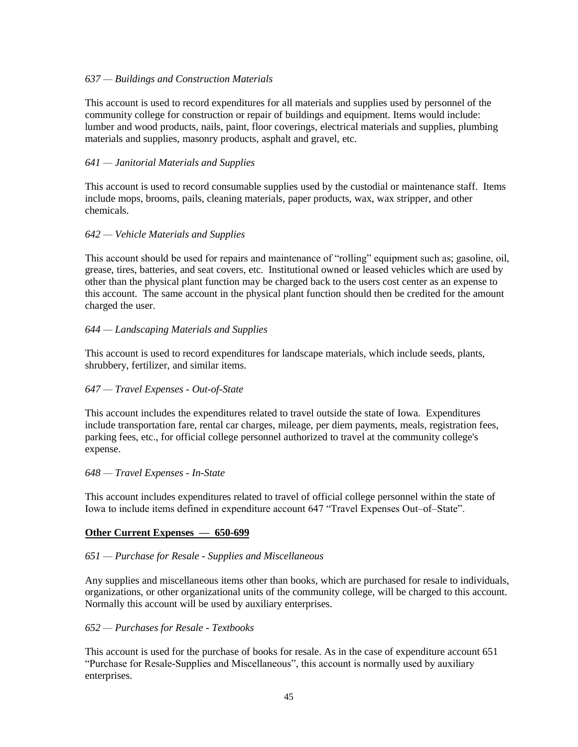## *637 — Buildings and Construction Materials*

This account is used to record expenditures for all materials and supplies used by personnel of the community college for construction or repair of buildings and equipment. Items would include: lumber and wood products, nails, paint, floor coverings, electrical materials and supplies, plumbing materials and supplies, masonry products, asphalt and gravel, etc.

## *641 — Janitorial Materials and Supplies*

This account is used to record consumable supplies used by the custodial or maintenance staff. Items include mops, brooms, pails, cleaning materials, paper products, wax, wax stripper, and other chemicals.

## *642 — Vehicle Materials and Supplies*

This account should be used for repairs and maintenance of "rolling" equipment such as; gasoline, oil, grease, tires, batteries, and seat covers, etc. Institutional owned or leased vehicles which are used by other than the physical plant function may be charged back to the users cost center as an expense to this account. The same account in the physical plant function should then be credited for the amount charged the user.

## *644 — Landscaping Materials and Supplies*

This account is used to record expenditures for landscape materials, which include seeds, plants, shrubbery, fertilizer, and similar items.

## *647 — Travel Expenses - Out-of-State*

This account includes the expenditures related to travel outside the state of Iowa. Expenditures include transportation fare, rental car charges, mileage, per diem payments, meals, registration fees, parking fees, etc., for official college personnel authorized to travel at the community college's expense.

#### *648 — Travel Expenses - In-State*

This account includes expenditures related to travel of official college personnel within the state of Iowa to include items defined in expenditure account 647 "Travel Expenses Out–of–State".

## **Other Current Expenses — 650-699**

## *651 — Purchase for Resale - Supplies and Miscellaneous*

Any supplies and miscellaneous items other than books, which are purchased for resale to individuals, organizations, or other organizational units of the community college, will be charged to this account. Normally this account will be used by auxiliary enterprises.

#### *652 — Purchases for Resale - Textbooks*

This account is used for the purchase of books for resale. As in the case of expenditure account 651 "Purchase for Resale-Supplies and Miscellaneous", this account is normally used by auxiliary enterprises.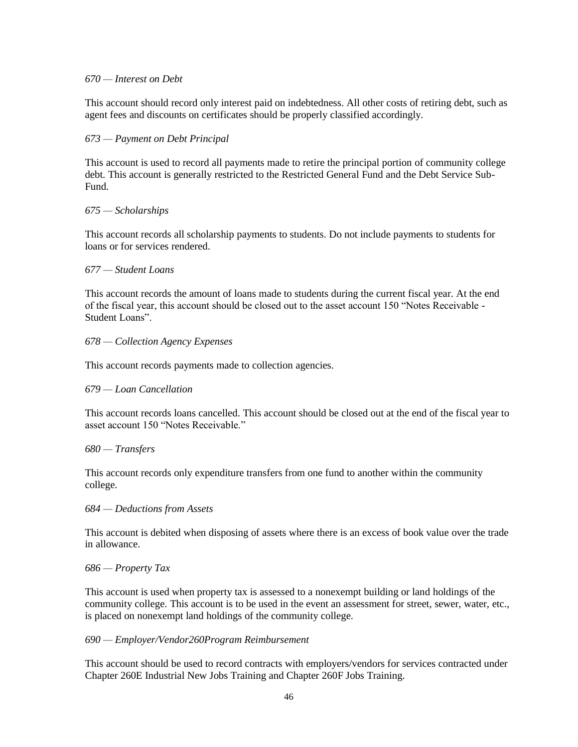#### *670 — Interest on Debt*

This account should record only interest paid on indebtedness. All other costs of retiring debt, such as agent fees and discounts on certificates should be properly classified accordingly.

## *673 — Payment on Debt Principal*

This account is used to record all payments made to retire the principal portion of community college debt. This account is generally restricted to the Restricted General Fund and the Debt Service Sub-Fund.

#### *675 — Scholarships*

This account records all scholarship payments to students. Do not include payments to students for loans or for services rendered.

#### *677 — Student Loans*

This account records the amount of loans made to students during the current fiscal year. At the end of the fiscal year, this account should be closed out to the asset account 150 "Notes Receivable - Student Loans".

#### *678 — Collection Agency Expenses*

This account records payments made to collection agencies.

#### *679 — Loan Cancellation*

This account records loans cancelled. This account should be closed out at the end of the fiscal year to asset account 150 "Notes Receivable."

#### *680 — Transfers*

This account records only expenditure transfers from one fund to another within the community college.

#### *684 — Deductions from Assets*

This account is debited when disposing of assets where there is an excess of book value over the trade in allowance.

#### *686 — Property Tax*

This account is used when property tax is assessed to a nonexempt building or land holdings of the community college. This account is to be used in the event an assessment for street, sewer, water, etc., is placed on nonexempt land holdings of the community college.

#### *690 — Employer/Vendor260Program Reimbursement*

This account should be used to record contracts with employers/vendors for services contracted under Chapter 260E Industrial New Jobs Training and Chapter 260F Jobs Training.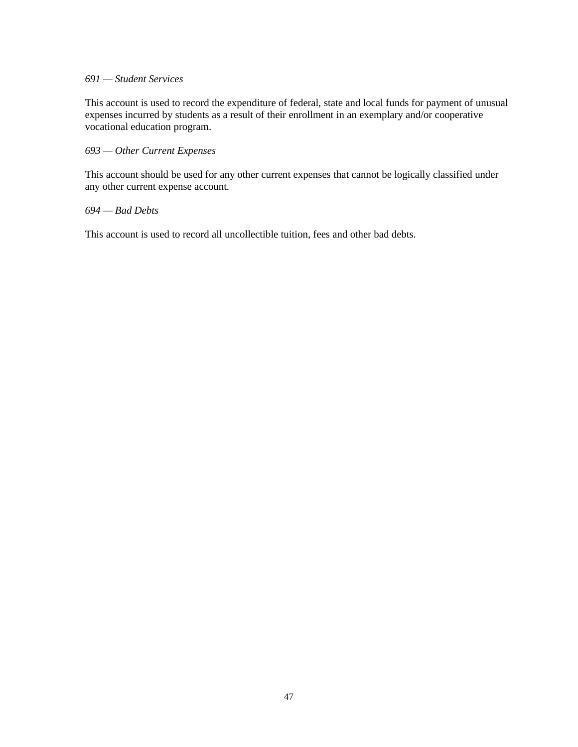## *691 — Student Services*

This account is used to record the expenditure of federal, state and local funds for payment of unusual expenses incurred by students as a result of their enrollment in an exemplary and/or cooperative vocational education program.

## *693 — Other Current Expenses*

This account should be used for any other current expenses that cannot be logically classified under any other current expense account.

## *694 — Bad Debts*

This account is used to record all uncollectible tuition, fees and other bad debts.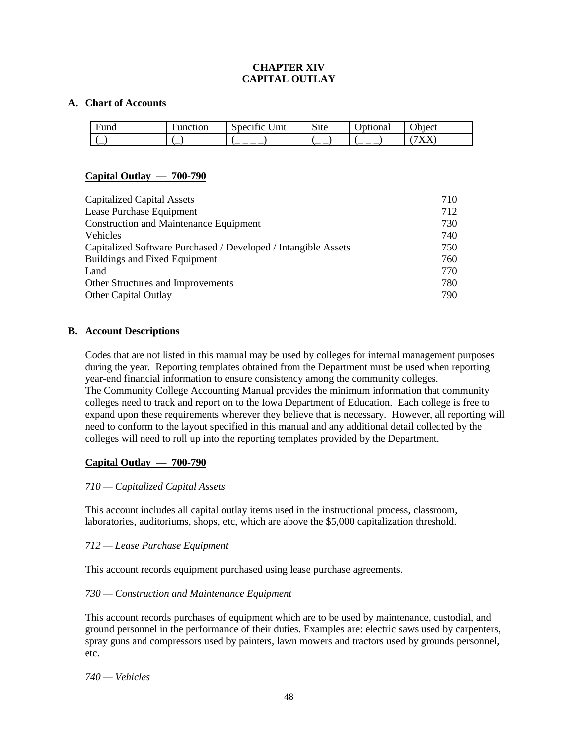## **CHAPTER XIV CAPITAL OUTLAY**

#### **A. Chart of Accounts**

| ╼<br>runa | ∺unction | $\cdots$<br>$\tilde{\phantom{a}}$<br>Jnıt<br>sdecitic | $\sim$ .<br>S <sub>1</sub> te | ⌒<br>ptional | $\gamma$ bject |
|-----------|----------|-------------------------------------------------------|-------------------------------|--------------|----------------|
| `—        | ∽        | __                                                    | — —                           |              | <b>AAAA</b>    |

## **Capital Outlay — 700-790**

| <b>Capitalized Capital Assets</b>                              | 710 |
|----------------------------------------------------------------|-----|
| Lease Purchase Equipment                                       | 712 |
| <b>Construction and Maintenance Equipment</b>                  | 730 |
| <b>Vehicles</b>                                                | 740 |
| Capitalized Software Purchased / Developed / Intangible Assets | 750 |
| Buildings and Fixed Equipment                                  | 760 |
| Land                                                           | 770 |
| Other Structures and Improvements                              | 780 |
| <b>Other Capital Outlay</b>                                    | 790 |

## **B. Account Descriptions**

Codes that are not listed in this manual may be used by colleges for internal management purposes during the year. Reporting templates obtained from the Department must be used when reporting year-end financial information to ensure consistency among the community colleges. The Community College Accounting Manual provides the minimum information that community colleges need to track and report on to the Iowa Department of Education. Each college is free to expand upon these requirements wherever they believe that is necessary. However, all reporting will need to conform to the layout specified in this manual and any additional detail collected by the colleges will need to roll up into the reporting templates provided by the Department.

## **Capital Outlay — 700-790**

## *710 — Capitalized Capital Assets*

This account includes all capital outlay items used in the instructional process, classroom, laboratories, auditoriums, shops, etc, which are above the \$5,000 capitalization threshold.

## *712 — Lease Purchase Equipment*

This account records equipment purchased using lease purchase agreements.

## *730 — Construction and Maintenance Equipment*

This account records purchases of equipment which are to be used by maintenance, custodial, and ground personnel in the performance of their duties. Examples are: electric saws used by carpenters, spray guns and compressors used by painters, lawn mowers and tractors used by grounds personnel, etc.

*740 — Vehicles*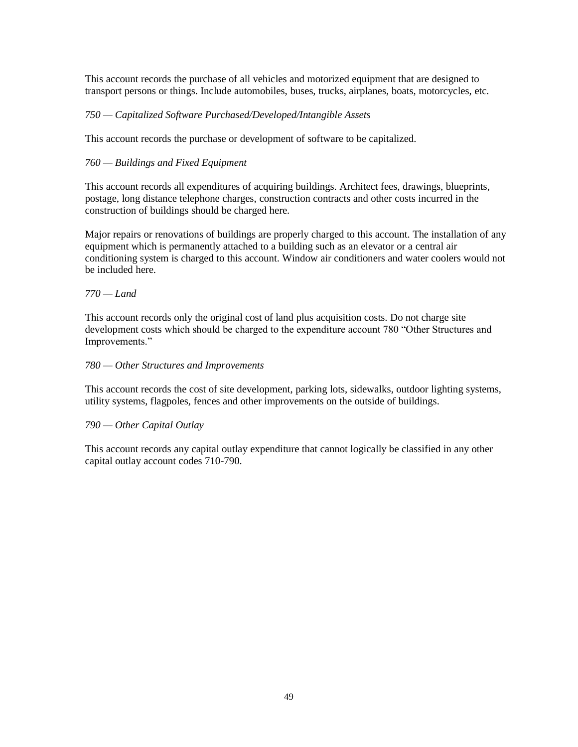This account records the purchase of all vehicles and motorized equipment that are designed to transport persons or things. Include automobiles, buses, trucks, airplanes, boats, motorcycles, etc.

## *750 — Capitalized Software Purchased/Developed/Intangible Assets*

This account records the purchase or development of software to be capitalized.

## *760 — Buildings and Fixed Equipment*

This account records all expenditures of acquiring buildings. Architect fees, drawings, blueprints, postage, long distance telephone charges, construction contracts and other costs incurred in the construction of buildings should be charged here.

Major repairs or renovations of buildings are properly charged to this account. The installation of any equipment which is permanently attached to a building such as an elevator or a central air conditioning system is charged to this account. Window air conditioners and water coolers would not be included here.

#### *770 — Land*

This account records only the original cost of land plus acquisition costs. Do not charge site development costs which should be charged to the expenditure account 780 "Other Structures and Improvements."

#### *780 — Other Structures and Improvements*

This account records the cost of site development, parking lots, sidewalks, outdoor lighting systems, utility systems, flagpoles, fences and other improvements on the outside of buildings.

#### *790 — Other Capital Outlay*

This account records any capital outlay expenditure that cannot logically be classified in any other capital outlay account codes 710-790.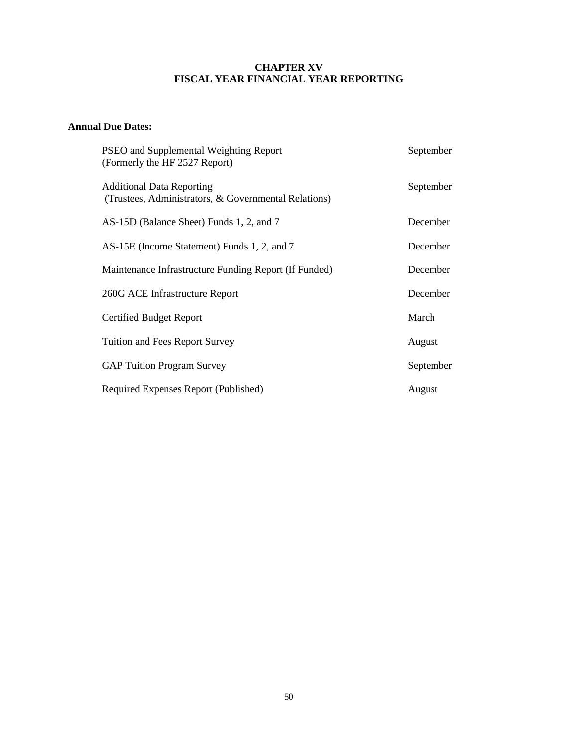# **CHAPTER XV FISCAL YEAR FINANCIAL YEAR REPORTING**

# **Annual Due Dates:**

| PSEO and Supplemental Weighting Report<br>(Formerly the HF 2527 Report)                  | September |
|------------------------------------------------------------------------------------------|-----------|
| <b>Additional Data Reporting</b><br>(Trustees, Administrators, & Governmental Relations) | September |
| AS-15D (Balance Sheet) Funds 1, 2, and 7                                                 | December  |
| AS-15E (Income Statement) Funds 1, 2, and 7                                              | December  |
| Maintenance Infrastructure Funding Report (If Funded)                                    | December  |
| 260G ACE Infrastructure Report                                                           | December  |
| Certified Budget Report                                                                  | March     |
| Tuition and Fees Report Survey                                                           | August    |
| <b>GAP Tuition Program Survey</b>                                                        | September |
| Required Expenses Report (Published)                                                     | August    |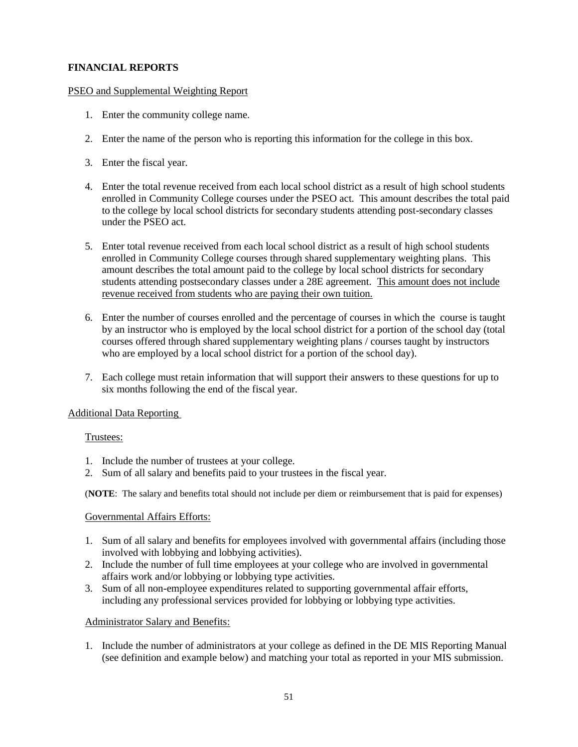# **FINANCIAL REPORTS**

## PSEO and Supplemental Weighting Report

- 1. Enter the community college name.
- 2. Enter the name of the person who is reporting this information for the college in this box.
- 3. Enter the fiscal year.
- 4. Enter the total revenue received from each local school district as a result of high school students enrolled in Community College courses under the PSEO act. This amount describes the total paid to the college by local school districts for secondary students attending post-secondary classes under the PSEO act.
- 5. Enter total revenue received from each local school district as a result of high school students enrolled in Community College courses through shared supplementary weighting plans. This amount describes the total amount paid to the college by local school districts for secondary students attending postsecondary classes under a 28E agreement. This amount does not include revenue received from students who are paying their own tuition.
- 6. Enter the number of courses enrolled and the percentage of courses in which the course is taught by an instructor who is employed by the local school district for a portion of the school day (total courses offered through shared supplementary weighting plans / courses taught by instructors who are employed by a local school district for a portion of the school day).
- 7. Each college must retain information that will support their answers to these questions for up to six months following the end of the fiscal year.

## Additional Data Reporting

## Trustees:

- 1. Include the number of trustees at your college.
- 2. Sum of all salary and benefits paid to your trustees in the fiscal year.

(**NOTE**: The salary and benefits total should not include per diem or reimbursement that is paid for expenses)

#### Governmental Affairs Efforts:

- 1. Sum of all salary and benefits for employees involved with governmental affairs (including those involved with lobbying and lobbying activities).
- 2. Include the number of full time employees at your college who are involved in governmental affairs work and/or lobbying or lobbying type activities.
- 3. Sum of all non-employee expenditures related to supporting governmental affair efforts, including any professional services provided for lobbying or lobbying type activities.

#### Administrator Salary and Benefits:

1. Include the number of administrators at your college as defined in the DE MIS Reporting Manual (see definition and example below) and matching your total as reported in your MIS submission.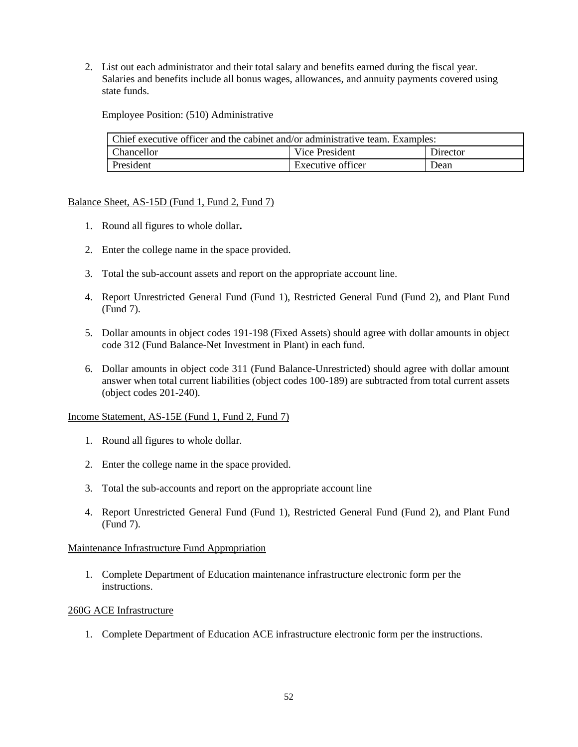2. List out each administrator and their total salary and benefits earned during the fiscal year. Salaries and benefits include all bonus wages, allowances, and annuity payments covered using state funds.

Employee Position: (510) Administrative

| Chief executive officer and the cabinet and/or administrative team. Examples: |                   |          |  |  |
|-------------------------------------------------------------------------------|-------------------|----------|--|--|
| Chancellor                                                                    | Vice President    | Director |  |  |
| President                                                                     | Executive officer | Dean     |  |  |

## Balance Sheet, AS-15D (Fund 1, Fund 2, Fund 7)

- 1. Round all figures to whole dollar**.**
- 2. Enter the college name in the space provided.
- 3. Total the sub-account assets and report on the appropriate account line.
- 4. Report Unrestricted General Fund (Fund 1), Restricted General Fund (Fund 2), and Plant Fund (Fund 7).
- 5. Dollar amounts in object codes 191-198 (Fixed Assets) should agree with dollar amounts in object code 312 (Fund Balance-Net Investment in Plant) in each fund.
- 6. Dollar amounts in object code 311 (Fund Balance-Unrestricted) should agree with dollar amount answer when total current liabilities (object codes 100-189) are subtracted from total current assets (object codes 201-240).

Income Statement, AS-15E (Fund 1, Fund 2, Fund 7)

- 1. Round all figures to whole dollar.
- 2. Enter the college name in the space provided.
- 3. Total the sub-accounts and report on the appropriate account line
- 4. Report Unrestricted General Fund (Fund 1), Restricted General Fund (Fund 2), and Plant Fund (Fund 7).

## Maintenance Infrastructure Fund Appropriation

1. Complete Department of Education maintenance infrastructure electronic form per the instructions.

## 260G ACE Infrastructure

1. Complete Department of Education ACE infrastructure electronic form per the instructions.